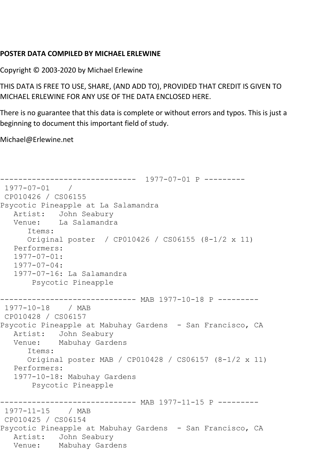## **POSTER DATA COMPILED BY MICHAEL ERLEWINE**

Copyright © 2003-2020 by Michael Erlewine

THIS DATA IS FREE TO USE, SHARE, (AND ADD TO), PROVIDED THAT CREDIT IS GIVEN TO MICHAEL ERLEWINE FOR ANY USE OF THE DATA ENCLOSED HERE.

There is no guarantee that this data is complete or without errors and typos. This is just a beginning to document this important field of study.

Michael@Erlewine.net

```
------------------------------ 1977-07-01 P ---------
1977-07-01 / 
CP010426 / CS06155
Psycotic Pineapple at La Salamandra
  Artist: John Seabury<br>Venue: La Salamandra
            La Salamandra
       Items:
      Original poster / CP010426 / CS06155 (8-1/2 x 11)
   Performers:
   1977-07-01:
   1977-07-04:
   1977-07-16: La Salamandra
        Psycotic Pineapple
------------------------------ MAB 1977-10-18 P ---------
1977-10-18 / MAB 
CP010428 / CS06157
Psycotic Pineapple at Mabuhay Gardens - San Francisco, CA
   Artist: John Seabury
   Venue: Mabuhay Gardens
       Items:
      Original poster MAB / CP010428 / CS06157 (8-1/2 x 11)
   Performers:
   1977-10-18: Mabuhay Gardens
        Psycotic Pineapple
------------------------------ MAB 1977-11-15 P ---------
1977-11-15 / MAB 
CP010425 / CS06154
Psycotic Pineapple at Mabuhay Gardens - San Francisco, CA
   Artist: John Seabury
   Venue: Mabuhay Gardens
```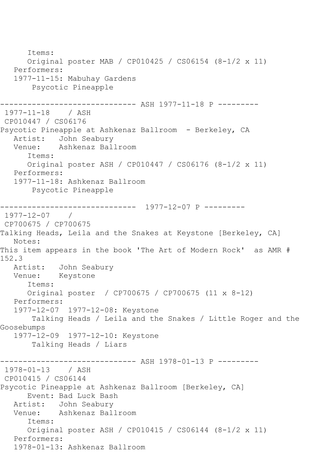Items: Original poster MAB / CP010425 / CS06154 (8-1/2 x 11) Performers: 1977-11-15: Mabuhay Gardens Psycotic Pineapple ------------------------------ ASH 1977-11-18 P --------- 1977-11-18 / ASH CP010447 / CS06176 Psycotic Pineapple at Ashkenaz Ballroom - Berkeley, CA Artist: John Seabury Venue: Ashkenaz Ballroom Items: Original poster ASH / CP010447 / CS06176 (8-1/2 x 11) Performers: 1977-11-18: Ashkenaz Ballroom Psycotic Pineapple ------------------------------ 1977-12-07 P --------- 1977-12-07 / CP700675 / CP700675 Talking Heads, Leila and the Snakes at Keystone [Berkeley, CA] Notes: This item appears in the book 'The Art of Modern Rock' as AMR # 152.3 Artist: John Seabury Venue: Keystone Items: Original poster / CP700675 / CP700675 (11 x 8-12) Performers: 1977-12-07 1977-12-08: Keystone Talking Heads / Leila and the Snakes / Little Roger and the Goosebumps 1977-12-09 1977-12-10: Keystone Talking Heads / Liars ------------------------------ ASH 1978-01-13 P --------- 1978-01-13 / ASH CP010415 / CS06144 Psycotic Pineapple at Ashkenaz Ballroom [Berkeley, CA] Event: Bad Luck Bash Artist: John Seabury Venue: Ashkenaz Ballroom Items: Original poster ASH / CP010415 / CS06144 (8-1/2 x 11) Performers: 1978-01-13: Ashkenaz Ballroom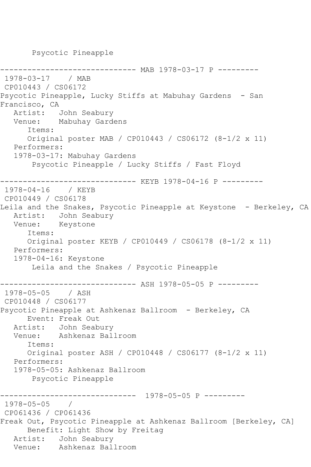Psycotic Pineapple

```
------------------------------ MAB 1978-03-17 P ---------
1978-03-17 / MAB 
CP010443 / CS06172
Psycotic Pineapple, Lucky Stiffs at Mabuhay Gardens - San 
Francisco, CA<br>Artist:
            John Seabury
   Venue: Mabuhay Gardens
       Items:
       Original poster MAB / CP010443 / CS06172 (8-1/2 x 11)
    Performers:
    1978-03-17: Mabuhay Gardens
        Psycotic Pineapple / Lucky Stiffs / Fast Floyd
    ------------------------------ KEYB 1978-04-16 P ---------
1978-04-16 / KEYB 
CP010449 / CS06178
Leila and the Snakes, Psycotic Pineapple at Keystone - Berkeley, CA
    Artist: John Seabury
    Venue: Keystone
       Items:
       Original poster KEYB / CP010449 / CS06178 (8-1/2 x 11)
    Performers:
    1978-04-16: Keystone
        Leila and the Snakes / Psycotic Pineapple
               ------------------------------ ASH 1978-05-05 P ---------
1978 - 05 - 05CP010448 / CS06177
Psycotic Pineapple at Ashkenaz Ballroom - Berkeley, CA
       Event: Freak Out
   Artist: John Seabury<br>Venue: Ashkenaz Bal
            Ashkenaz Ballroom
       Items:
       Original poster ASH / CP010448 / CS06177 (8-1/2 x 11)
    Performers:
    1978-05-05: Ashkenaz Ballroom
        Psycotic Pineapple
                    ------------------------------ 1978-05-05 P ---------
1978-05-05 / 
CP061436 / CP061436
Freak Out, Psycotic Pineapple at Ashkenaz Ballroom [Berkeley, CA]
       Benefit: Light Show by Freitag
  Artist: John Seabury<br>Venue: Ashkenaz Bal
            Ashkenaz Ballroom
```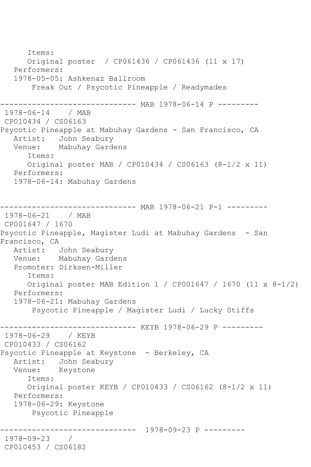Items: Original poster / CP061436 / CP061436 (11 x 17) Performers: 1978-05-05: Ashkenaz Ballroom Freak Out / Psycotic Pineapple / Readymades ------------------------------ MAB 1978-06-14 P --------- 1978-06-14 / MAB CP010434 / CS06163 Psycotic Pineapple at Mabuhay Gardens - San Francisco, CA Artist: John Seabury Venue: Mabuhay Gardens Items: Original poster MAB / CP010434 / CS06163 (8-1/2 x 11) Performers: 1978-06-14: Mabuhay Gardens ----------- MAB 1978-06-21 P-1 ---------1978-06-21 / MAB CP001647 / 1670 Psycotic Pineapple, Magister Ludi at Mabuhay Gardens - San Francisco, CA Artist: John Seabury Venue: Mabuhay Gardens Promoter: Dirksen-Miller Items: Original poster MAB Edition 1 / CP001647 / 1670 (11 x 8-1/2) Performers: 1978-06-21: Mabuhay Gardens Psycotic Pineapple / Magister Ludi / Lucky Stiffs ------------------------------ KEYB 1978-06-29 P --------- 1978-06-29 / KEYB CP010433 / CS06162 Psycotic Pineapple at Keystone - Berkeley, CA Artist: John Seabury Venue: Keystone Items: Original poster KEYB / CP010433 / CS06162 (8-1/2 x 11) Performers: 1978-06-29: Keystone Psycotic Pineapple ------------------------------ 1978-09-23 P --------- 1978-09-23 / CP010453 / CS06182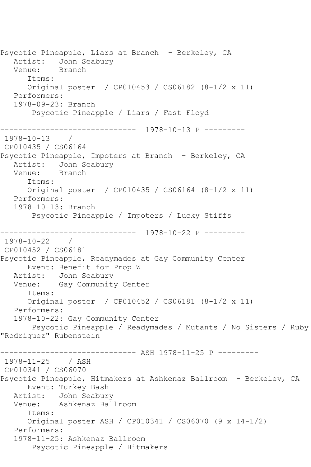Psycotic Pineapple, Liars at Branch - Berkeley, CA Artist: John Seabury Venue: Branch Items: Original poster / CP010453 / CS06182 (8-1/2 x 11) Performers: 1978-09-23: Branch Psycotic Pineapple / Liars / Fast Floyd ------------------------------ 1978-10-13 P --------- 1978-10-13 / CP010435 / CS06164 Psycotic Pineapple, Impoters at Branch - Berkeley, CA Artist: John Seabury Venue: Branch Items: Original poster / CP010435 / CS06164 (8-1/2 x 11) Performers: 1978-10-13: Branch Psycotic Pineapple / Impoters / Lucky Stiffs ------------------------------ 1978-10-22 P ---------  $1978 - 10 - 22$ CP010452 / CS06181 Psycotic Pineapple, Readymades at Gay Community Center Event: Benefit for Prop W Artist: John Seabury Venue: Gay Community Center Items: Original poster / CP010452 / CS06181 (8-1/2 x 11) Performers: 1978-10-22: Gay Community Center Psycotic Pineapple / Readymades / Mutants / No Sisters / Ruby "Rodriguez" Rubenstein ------------------------------ ASH 1978-11-25 P --------- 1978-11-25 / ASH CP010341 / CS06070 Psycotic Pineapple, Hitmakers at Ashkenaz Ballroom - Berkeley, CA Event: Turkey Bash Artist: John Seabury Venue: Ashkenaz Ballroom Items: Original poster ASH / CP010341 / CS06070 (9 x 14-1/2) Performers: 1978-11-25: Ashkenaz Ballroom Psycotic Pineapple / Hitmakers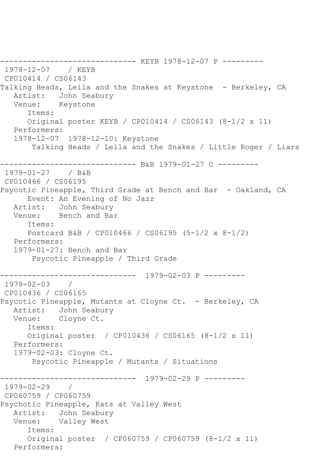------------------------------ KEYB 1978-12-07 P --------- 1978-12-07 / KEYB CP010414 / CS06143 Talking Heads, Leila and the Snakes at Keystone - Berkeley, CA<br>Artist: John Seabury John Seabury Venue: Keystone Items: Original poster KEYB / CP010414 / CS06143 (8-1/2 x 11) Performers: 1978-12-07 1978-12-10: Keystone Talking Heads / Leila and the Snakes / Little Roger / Liars ------------------------------ B&B 1979-01-27 C --------- 1979-01-27 / B&B CP010466 / CS06195 Psycotic Pineapple, Third Grade at Bench and Bar - Oakland, CA Event: An Evening of No Jazz<br>Artist: John Seabury John Seabury Venue: Bench and Bar Items: Postcard B&B / CP010466 / CS06195 (5-1/2 x 8-1/2) Performers: 1979-01-27: Bench and Bar Psycotic Pineapple / Third Grade ------------------------------ 1979-02-03 P --------- 1979-02-03 / CP010436 / CS06165 Psycotic Pineapple, Mutants at Cloyne Ct. - Berkeley, CA Artist: John Seabury Venue: Cloyne Ct. Items: Original poster / CP010436 / CS06165 (8-1/2 x 11) Performers: 1979-02-03: Cloyne Ct. Psycotic Pineapple / Mutants / Situations ------------------------------ 1979-02-29 P ---------  $1979 - 02 - 29$ CP060759 / CP060759 Psychotic Pineapple, Kats at Valley West Artist: John Seabury Venue: Valley West Items: Original poster / CP060759 / CP060759 (8-1/2 x 11) Performers: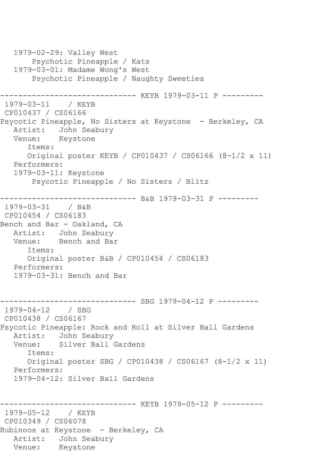1979-02-29: Valley West Psychotic Pineapple / Kats 1979-03-01: Madame Wong's West Psychotic Pineapple / Naughty Sweeties -------------- KEYB 1979-03-11 P ---------1979-03-11 / KEYB CP010437 / CS06166 Psycotic Pineapple, No Sisters at Keystone - Berkeley, CA Artist: John Seabury Venue: Keystone Items: Original poster KEYB / CP010437 / CS06166 (8-1/2 x 11) Performers: 1979-03-11: Keystone Psycotic Pineapple / No Sisters / Blitz ------------------------------ B&B 1979-03-31 P --------- 1979-03-31 / B&B CP010454 / CS06183 Bench and Bar - Oakland, CA Artist: John Seabury Venue: Bench and Bar Items: Original poster B&B / CP010454 / CS06183 Performers: 1979-03-31: Bench and Bar ------------------------------ SBG 1979-04-12 P --------- 1979-04-12 / SBG CP010438 / CS06167 Psycotic Pineapple: Rock and Roll at Silver Ball Gardens Artist: John Seabury Venue: Silver Ball Gardens Items: Original poster SBG / CP010438 / CS06167 (8-1/2 x 11) Performers: 1979-04-12: Silver Ball Gardens ---------- KEYB 1979-05-12 P ---------1979-05-12 / KEYB CP010349 / CS06078 Rubinoos at Keystone - Berkeley, CA Artist: John Seabury Venue: Keystone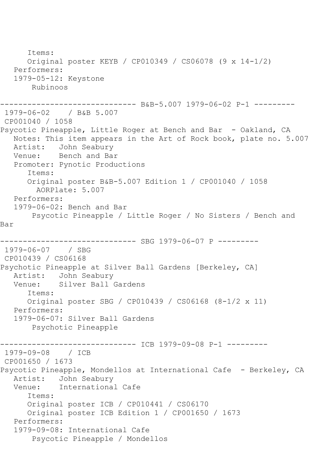Items: Original poster KEYB / CP010349 / CS06078 (9 x 14-1/2) Performers: 1979-05-12: Keystone Rubinoos ------------------------------ B&B-5.007 1979-06-02 P-1 --------- 1979-06-02 / B&B 5.007 CP001040 / 1058 Psycotic Pineapple, Little Roger at Bench and Bar - Oakland, CA Notes: This item appears in the Art of Rock book, plate no. 5.007 Artist: John Seabury<br>Venue: Bench and Bay Bench and Bar Promoter: Pynotic Productions Items: Original poster B&B-5.007 Edition 1 / CP001040 / 1058 AORPlate: 5.007 Performers: 1979-06-02: Bench and Bar Psycotic Pineapple / Little Roger / No Sisters / Bench and Bar ------------------------------ SBG 1979-06-07 P --------- 1979-06-07 / SBG CP010439 / CS06168 Psychotic Pineapple at Silver Ball Gardens [Berkeley, CA] Artist: John Seabury Venue: Silver Ball Gardens Items: Original poster SBG / CP010439 / CS06168 (8-1/2 x 11) Performers: 1979-06-07: Silver Ball Gardens Psychotic Pineapple ------------------------------ ICB 1979-09-08 P-1 --------- 1979-09-08 / ICB CP001650 / 1673 Psycotic Pineapple, Mondellos at International Cafe - Berkeley, CA Artist: John Seabury<br>Venue: International International Cafe Items: Original poster ICB / CP010441 / CS06170 Original poster ICB Edition 1 / CP001650 / 1673 Performers: 1979-09-08: International Cafe Psycotic Pineapple / Mondellos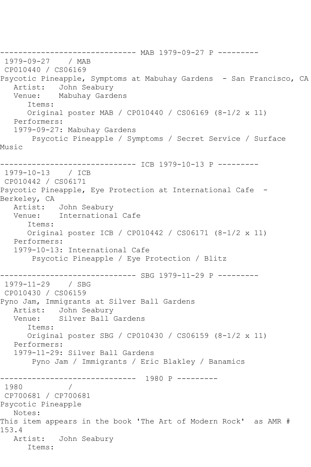------------------------------ MAB 1979-09-27 P --------- 1979-09-27 / MAB CP010440 / CS06169 Psycotic Pineapple, Symptoms at Mabuhay Gardens - San Francisco, CA Artist: John Seabury Venue: Mabuhay Gardens Items: Original poster MAB / CP010440 / CS06169 (8-1/2 x 11) Performers: 1979-09-27: Mabuhay Gardens Psycotic Pineapple / Symptoms / Secret Service / Surface Music ------------------------------ ICB 1979-10-13 P --------- 1979-10-13 / ICB CP010442 / CS06171 Psycotic Pineapple, Eye Protection at International Cafe - Berkeley, CA<br>Artist: John Seaburv Venue: International Cafe Items: Original poster ICB / CP010442 / CS06171 (8-1/2 x 11) Performers: 1979-10-13: International Cafe Psycotic Pineapple / Eye Protection / Blitz ------------------------------ SBG 1979-11-29 P --------- 1979-11-29 / SBG CP010430 / CS06159 Pyno Jam, Immigrants at Silver Ball Gardens Artist: John Seabury Venue: Silver Ball Gardens Items: Original poster SBG / CP010430 / CS06159 (8-1/2 x 11) Performers: 1979-11-29: Silver Ball Gardens Pyno Jam / Immigrants / Eric Blakley / Banamics ------------------------------ 1980 P --------- 1980 / CP700681 / CP700681 Psycotic Pineapple Notes: This item appears in the book 'The Art of Modern Rock' as AMR # 153.4 Artist: John Seabury Items: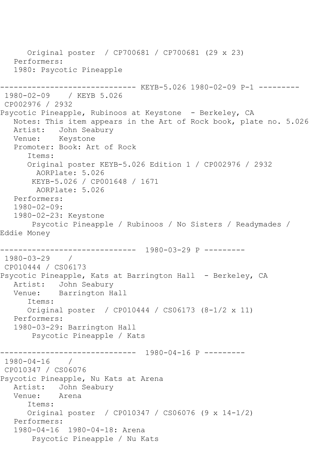Original poster / CP700681 / CP700681 (29 x 23) Performers: 1980: Psycotic Pineapple ------------------------------ KEYB-5.026 1980-02-09 P-1 --------- 1980-02-09 / KEYB 5.026 CP002976 / 2932 Psycotic Pineapple, Rubinoos at Keystone - Berkeley, CA Notes: This item appears in the Art of Rock book, plate no. 5.026 Artist: John Seabury Venue: Keystone Promoter: Book: Art of Rock Items: Original poster KEYB-5.026 Edition 1 / CP002976 / 2932 AORPlate: 5.026 KEYB-5.026 / CP001648 / 1671 AORPlate: 5.026 Performers: 1980-02-09: 1980-02-23: Keystone Psycotic Pineapple / Rubinoos / No Sisters / Readymades / Eddie Money ------------------------------ 1980-03-29 P --------- 1980-03-29 / CP010444 / CS06173 Psycotic Pineapple, Kats at Barrington Hall - Berkeley, CA Artist: John Seabury Venue: Barrington Hall Items: Original poster / CP010444 / CS06173 (8-1/2 x 11) Performers: 1980-03-29: Barrington Hall Psycotic Pineapple / Kats ------------------------------ 1980-04-16 P --------- 1980-04-16 / CP010347 / CS06076 Psycotic Pineapple, Nu Kats at Arena Artist: John Seabury<br>Venue: Arena  $V$ enue $\cdot$  Items: Original poster / CP010347 / CS06076 (9 x 14-1/2) Performers: 1980-04-16 1980-04-18: Arena Psycotic Pineapple / Nu Kats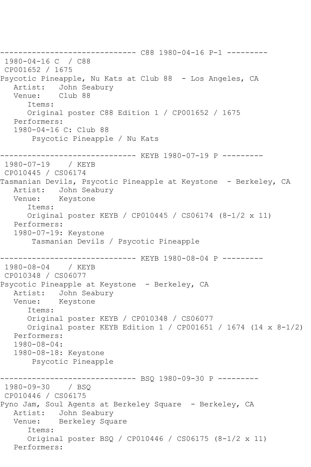------------------------------ C88 1980-04-16 P-1 --------- 1980-04-16 C / C88 CP001652 / 1675 Psycotic Pineapple, Nu Kats at Club 88 - Los Angeles, CA Artist: John Seabury Venue: Club 88 Items: Original poster C88 Edition 1 / CP001652 / 1675 Performers: 1980-04-16 C: Club 88 Psycotic Pineapple / Nu Kats ------------------------------ KEYB 1980-07-19 P --------- 1980-07-19 / KEYB CP010445 / CS06174 Tasmanian Devils, Psycotic Pineapple at Keystone - Berkeley, CA Artist: John Seabury Venue: Keystone Items: Original poster KEYB / CP010445 / CS06174 (8-1/2 x 11) Performers: 1980-07-19: Keystone Tasmanian Devils / Psycotic Pineapple ----------------- KEYB 1980-08-04 P ---------<br>/ KEYB  $1980 - 08 - 04$ CP010348 / CS06077 Psycotic Pineapple at Keystone - Berkeley, CA Artist: John Seabury Venue: Keystone Items: Original poster KEYB / CP010348 / CS06077 Original poster KEYB Edition 1 / CP001651 / 1674 (14 x 8-1/2) Performers: 1980-08-04: 1980-08-18: Keystone Psycotic Pineapple ------------------------------ BSQ 1980-09-30 P --------- 1980-09-30 / BSQ CP010446 / CS06175 Pyno Jam, Soul Agents at Berkeley Square - Berkeley, CA Artist: John Seabury Venue: Berkeley Square Items: Original poster BSQ / CP010446 / CS06175 (8-1/2 x 11) Performers: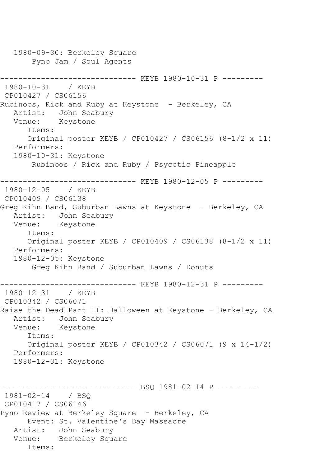1980-09-30: Berkeley Square Pyno Jam / Soul Agents ------------------------------ KEYB 1980-10-31 P ---------  $1980 - 10 - 31$ CP010427 / CS06156 Rubinoos, Rick and Ruby at Keystone - Berkeley, CA Artist: John Seabury Venue: Keystone Items: Original poster KEYB / CP010427 / CS06156 (8-1/2 x 11) Performers: 1980-10-31: Keystone Rubinoos / Rick and Ruby / Psycotic Pineapple ------------------------------ KEYB 1980-12-05 P --------- 1980-12-05 / KEYB CP010409 / CS06138 Greg Kihn Band, Suburban Lawns at Keystone - Berkeley, CA Artist: John Seabury Venue: Keystone Items: Original poster KEYB / CP010409 / CS06138 (8-1/2 x 11) Performers: 1980-12-05: Keystone Greg Kihn Band / Suburban Lawns / Donuts ------------------------------ KEYB 1980-12-31 P --------- 1980-12-31 / KEYB CP010342 / CS06071 Raise the Dead Part II: Halloween at Keystone - Berkeley, CA Artist: John Seabury Venue: Keystone Items: Original poster KEYB / CP010342 / CS06071 (9 x 14-1/2) Performers: 1980-12-31: Keystone ------------------------------ BSQ 1981-02-14 P --------- 1981-02-14 / BSQ CP010417 / CS06146 Pyno Review at Berkeley Square - Berkeley, CA Event: St. Valentine's Day Massacre Artist: John Seabury Venue: Berkeley Square Items: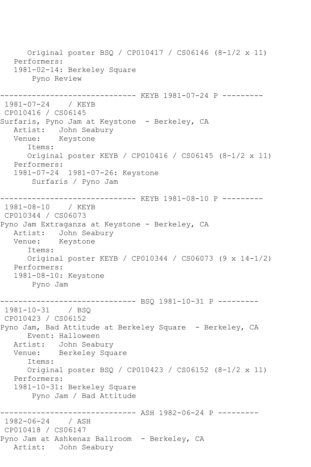Original poster BSQ / CP010417 / CS06146 (8-1/2 x 11) Performers: 1981-02-14: Berkeley Square Pyno Review ----------- KEYB 1981-07-24 P ---------1981-07-24 / KEYB CP010416 / CS06145 Surfaris, Pyno Jam at Keystone - Berkeley, CA Artist: John Seabury Venue: Keystone Items: Original poster KEYB / CP010416 / CS06145 (8-1/2 x 11) Performers: 1981-07-24 1981-07-26: Keystone Surfaris / Pyno Jam ------------------------------ KEYB 1981-08-10 P --------- 1981-08-10 / KEYB CP010344 / CS06073 Pyno Jam Extraganza at Keystone - Berkeley, CA Artist: John Seabury Venue: Keystone Items: Original poster KEYB / CP010344 / CS06073 (9 x 14-1/2) Performers: 1981-08-10: Keystone Pyno Jam ------------------------------ BSQ 1981-10-31 P --------- 1981-10-31 / BSQ CP010423 / CS06152 Pyno Jam, Bad Attitude at Berkeley Square - Berkeley, CA Event: Halloween Artist: John Seabury Venue: Berkeley Square Items: Original poster BSQ / CP010423 / CS06152 (8-1/2 x 11) Performers: 1981-10-31: Berkeley Square Pyno Jam / Bad Attitude ------------ ASH 1982-06-24 P ---------1982-06-24 / ASH CP010418 / CS06147 Pyno Jam at Ashkenaz Ballroom - Berkeley, CA Artist: John Seabury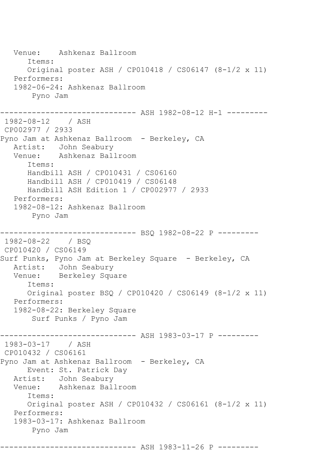Venue: Ashkenaz Ballroom Items: Original poster ASH / CP010418 / CS06147 (8-1/2 x 11) Performers: 1982-06-24: Ashkenaz Ballroom Pyno Jam ------------------------------ ASH 1982-08-12 H-1 --------- 1982-08-12 / ASH CP002977 / 2933 Pyno Jam at Ashkenaz Ballroom - Berkeley, CA Artist: John Seabury Venue: Ashkenaz Ballroom Items: Handbill ASH / CP010431 / CS06160 Handbill ASH / CP010419 / CS06148 Handbill ASH Edition 1 / CP002977 / 2933 Performers: 1982-08-12: Ashkenaz Ballroom Pyno Jam ------------------------------ BSQ 1982-08-22 P --------- 1982-08-22 / BSQ CP010420 / CS06149 Surf Punks, Pyno Jam at Berkeley Square - Berkeley, CA Artist: John Seabury Venue: Berkeley Square Items: Original poster BSQ / CP010420 / CS06149 (8-1/2 x 11) Performers: 1982-08-22: Berkeley Square Surf Punks / Pyno Jam ------------------------------ ASH 1983-03-17 P --------- 1983-03-17 / ASH CP010432 / CS06161 Pyno Jam at Ashkenaz Ballroom - Berkeley, CA Event: St. Patrick Day Artist: John Seabury<br>Venue: Ashkenaz Bal Ashkenaz Ballroom Items: Original poster ASH / CP010432 / CS06161 (8-1/2 x 11) Performers: 1983-03-17: Ashkenaz Ballroom Pyno Jam ------------------------------ ASH 1983-11-26 P ---------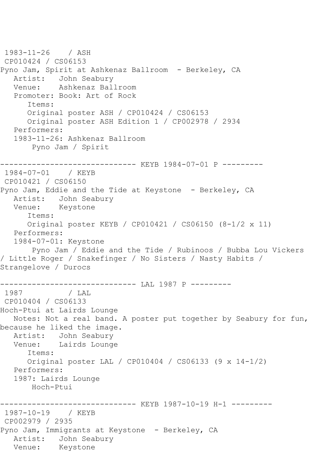1983-11-26 / ASH CP010424 / CS06153 Pyno Jam, Spirit at Ashkenaz Ballroom - Berkeley, CA Artist: John Seabury Venue: Ashkenaz Ballroom Promoter: Book: Art of Rock Items: Original poster ASH / CP010424 / CS06153 Original poster ASH Edition 1 / CP002978 / 2934 Performers: 1983-11-26: Ashkenaz Ballroom Pyno Jam / Spirit ------------------------------ KEYB 1984-07-01 P --------- 1984-07-01 / KEYB CP010421 / CS06150 Pyno Jam, Eddie and the Tide at Keystone - Berkeley, CA Artist: John Seabury Venue: Keystone Items: Original poster KEYB / CP010421 / CS06150 (8-1/2 x 11) Performers: 1984-07-01: Keystone Pyno Jam / Eddie and the Tide / Rubinoos / Bubba Lou Vickers / Little Roger / Snakefinger / No Sisters / Nasty Habits / Strangelove / Durocs ------------------------------ LAL 1987 P --------- 1987 / LAL CP010404 / CS06133 Hoch-Ptui at Lairds Lounge Notes: Not a real band. A poster put together by Seabury for fun, because he liked the image. Artist: John Seabury Venue: Lairds Lounge Items: Original poster LAL / CP010404 / CS06133 (9 x 14-1/2) Performers: 1987: Lairds Lounge Hoch-Ptui -------------- KEYB 1987-10-19 H-1 ---------1987-10-19 / KEYB CP002979 / 2935 Pyno Jam, Immigrants at Keystone - Berkeley, CA Artist: John Seabury Venue: Keystone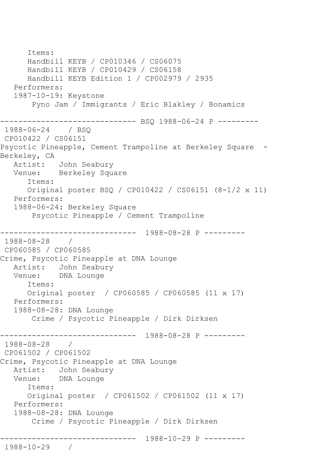Items: Handbill KEYB / CP010346 / CS06075 Handbill KEYB / CP010429 / CS06158 Handbill KEYB Edition 1 / CP002979 / 2935 Performers: 1987-10-19: Keystone Pyno Jam / Immigrants / Eric Blakley / Bonamics ------------------------------ BSQ 1988-06-24 P --------- 1988-06-24 CP010422 / CS06151 Psycotic Pineapple, Cement Trampoline at Berkeley Square -Berkeley, CA Artist: John Seabury Venue: Berkeley Square Items: Original poster BSQ / CP010422 / CS06151 (8-1/2 x 11) Performers: 1988-06-24: Berkeley Square Psycotic Pineapple / Cement Trampoline ------------------------------ 1988-08-28 P --------- 1988-08-28 / CP060585 / CP060585 Crime, Psycotic Pineapple at DNA Lounge Artist: John Seabury Venue: DNA Lounge Items: Original poster / CP060585 / CP060585 (11 x 17) Performers: 1988-08-28: DNA Lounge Crime / Psycotic Pineapple / Dirk Dirksen ------------------------------ 1988-08-28 P --------- 1988-08-28 / CP061502 / CP061502 Crime, Psycotic Pineapple at DNA Lounge Artist: John Seabury Venue: DNA Lounge Items: Original poster / CP061502 / CP061502 (11 x 17) Performers: 1988-08-28: DNA Lounge Crime / Psycotic Pineapple / Dirk Dirksen ------------------------------ 1988-10-29 P --------- 1988-10-29 /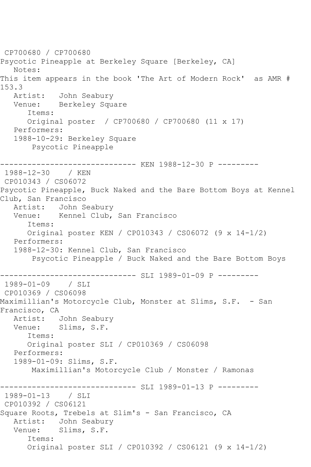CP700680 / CP700680 Psycotic Pineapple at Berkeley Square [Berkeley, CA] Notes: This item appears in the book 'The Art of Modern Rock' as AMR # 153.3<br>Artist: John Seabury Venue: Berkeley Square Items: Original poster / CP700680 / CP700680 (11 x 17) Performers: 1988-10-29: Berkeley Square Psycotic Pineapple -------------------------------- KEN 1988-12-30 P ---------<br>1988-12-30 / KEN 1988-12-30 CP010343 / CS06072 Psycotic Pineapple, Buck Naked and the Bare Bottom Boys at Kennel Club, San Francisco<br>Artist: John Se John Seabury Venue: Kennel Club, San Francisco Items: Original poster KEN / CP010343 / CS06072 (9 x 14-1/2) Performers: 1988-12-30: Kennel Club, San Francisco Psycotic Pineapple / Buck Naked and the Bare Bottom Boys ------------------------------ SLI 1989-01-09 P --------- 1989-01-09 / SLI CP010369 / CS06098 Maximillian's Motorcycle Club, Monster at Slims, S.F. - San Francisco, CA<br>Artist: John Seabury Venue: Slims, S.F. Items: Original poster SLI / CP010369 / CS06098 Performers: 1989-01-09: Slims, S.F. Maximillian's Motorcycle Club / Monster / Ramonas ------------------------------ SLI 1989-01-13 P --------- 1989-01-13 / SLI CP010392 / CS06121 Square Roots, Trebels at Slim's - San Francisco, CA Artist: John Seabury Venue: Slims, S.F. Items: Original poster SLI / CP010392 / CS06121 (9 x 14-1/2)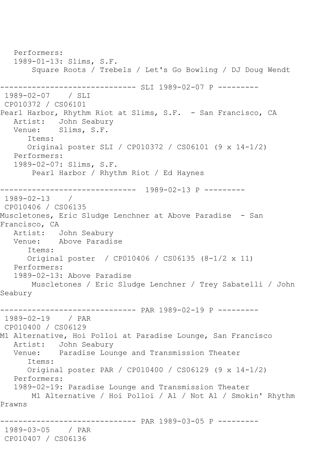Performers: 1989-01-13: Slims, S.F. Square Roots / Trebels / Let's Go Bowling / DJ Doug Wendt ------------------------------ SLI 1989-02-07 P --------- 1989-02-07 / SLI CP010372 / CS06101 Pearl Harbor, Rhythm Riot at Slims, S.F. - San Francisco, CA Artist: John Seabury Venue: Slims, S.F. Items: Original poster SLI / CP010372 / CS06101 (9 x 14-1/2) Performers: 1989-02-07: Slims, S.F. Pearl Harbor / Rhythm Riot / Ed Haynes ------------------------------ 1989-02-13 P --------- 1989-02-13 / CP010406 / CS06135 Muscletones, Eric Sludge Lenchner at Above Paradise - San Francisco, CA<br>Artist: J John Seabury Venue: Above Paradise Items: Original poster / CP010406 / CS06135 (8-1/2 x 11) Performers: 1989-02-13: Above Paradise Muscletones / Eric Sludge Lenchner / Trey Sabatelli / John Seabury ------------------------------ PAR 1989-02-19 P --------- 1989-02-19 / PAR CP010400 / CS06129 M1 Alternative, Hoi Polloi at Paradise Lounge, San Francisco Artist: John Seabury Venue: Paradise Lounge and Transmission Theater Items: Original poster PAR / CP010400 / CS06129 (9 x 14-1/2) Performers: 1989-02-19: Paradise Lounge and Transmission Theater M1 Alternative / Hoi Polloi / Al / Not Al / Smokin' Rhythm Prawns ------------------------------ PAR 1989-03-05 P --------- 1989-03-05 / PAR CP010407 / CS06136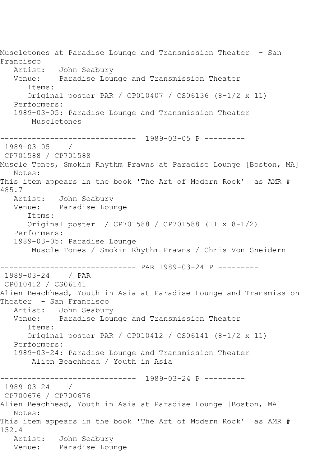Muscletones at Paradise Lounge and Transmission Theater - San Francisco Artist: John Seabury Venue: Paradise Lounge and Transmission Theater Items: Original poster PAR / CP010407 / CS06136 (8-1/2 x 11) Performers: 1989-03-05: Paradise Lounge and Transmission Theater Muscletones ------------------------------ 1989-03-05 P --------- 1989-03-05 / CP701588 / CP701588 Muscle Tones, Smokin Rhythm Prawns at Paradise Lounge [Boston, MA] Notes: This item appears in the book 'The Art of Modern Rock' as AMR # 485.7 Artist: John Seabury Venue: Paradise Lounge Items: Original poster / CP701588 / CP701588 (11 x 8-1/2) Performers: 1989-03-05: Paradise Lounge Muscle Tones / Smokin Rhythm Prawns / Chris Von Sneidern ------------------------------ PAR 1989-03-24 P --------- 1989-03-24 / PAR CP010412 / CS06141 Alien Beachhead, Youth in Asia at Paradise Lounge and Transmission Theater - San Francisco Artist: John Seabury Venue: Paradise Lounge and Transmission Theater Items: Original poster PAR / CP010412 / CS06141 (8-1/2 x 11) Performers: 1989-03-24: Paradise Lounge and Transmission Theater Alien Beachhead / Youth in Asia ------------------------------ 1989-03-24 P --------- 1989-03-24 / CP700676 / CP700676 Alien Beachhead, Youth in Asia at Paradise Lounge [Boston, MA] Notes: This item appears in the book 'The Art of Modern Rock' as AMR # 152.4 Artist: John Seabury Venue: Paradise Lounge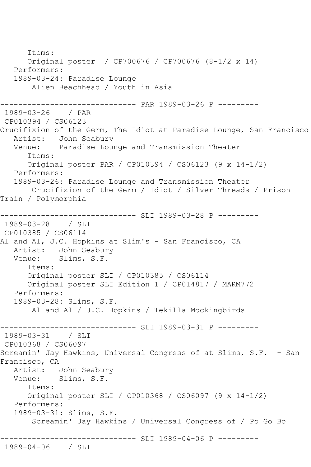```
 Items:
      Original poster / CP700676 / CP700676 (8-1/2 x 14)
   Performers:
   1989-03-24: Paradise Lounge
       Alien Beachhead / Youth in Asia
------------------------------ PAR 1989-03-26 P ---------
1989-03-26 / PAR 
CP010394 / CS06123
Crucifixion of the Germ, The Idiot at Paradise Lounge, San Francisco
   Artist: John Seabury
   Venue: Paradise Lounge and Transmission Theater
      Items:
      Original poster PAR / CP010394 / CS06123 (9 x 14-1/2)
   Performers:
   1989-03-26: Paradise Lounge and Transmission Theater
       Crucifixion of the Germ / Idiot / Silver Threads / Prison 
Train / Polymorphia
------------------------------ SLI 1989-03-28 P ---------
1989-03-28 / SLI 
CP010385 / CS06114
Al and Al, J.C. Hopkins at Slim's - San Francisco, CA
   Artist: John Seabury
   Venue: Slims, S.F.
      Items:
      Original poster SLI / CP010385 / CS06114
      Original poster SLI Edition 1 / CP014817 / MARM772
   Performers:
   1989-03-28: Slims, S.F.
       Al and Al / J.C. Hopkins / Tekilla Mockingbirds
------------------------------ SLI 1989-03-31 P ---------
1989-03-31 / SLI 
CP010368 / CS06097
Screamin' Jay Hawkins, Universal Congress of at Slims, S.F. - San 
Francisco, CA
   Artist: John Seabury
   Venue: Slims, S.F.
      Items:
      Original poster SLI / CP010368 / CS06097 (9 x 14-1/2)
   Performers:
   1989-03-31: Slims, S.F.
        Screamin' Jay Hawkins / Universal Congress of / Po Go Bo
  ------------------------------ SLI 1989-04-06 P ---------
1989-04-06 / SLI
```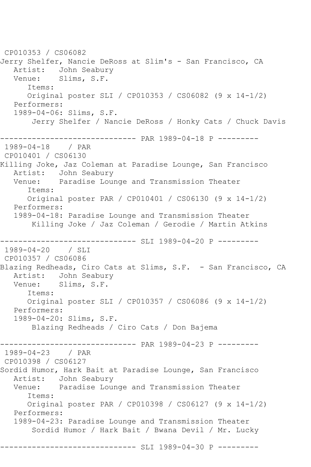CP010353 / CS06082 Jerry Shelfer, Nancie DeRoss at Slim's - San Francisco, CA Artist: John Seabury Venue: Slims, S.F. Items: Original poster SLI / CP010353 / CS06082 (9 x 14-1/2) Performers: 1989-04-06: Slims, S.F. Jerry Shelfer / Nancie DeRoss / Honky Cats / Chuck Davis ------------------------------ PAR 1989-04-18 P --------- 1989-04-18 / PAR CP010401 / CS06130 Killing Joke, Jaz Coleman at Paradise Lounge, San Francisco Artist: John Seabury Venue: Paradise Lounge and Transmission Theater Items: Original poster PAR / CP010401 / CS06130 (9 x 14-1/2) Performers: 1989-04-18: Paradise Lounge and Transmission Theater Killing Joke / Jaz Coleman / Gerodie / Martin Atkins --------------- SLI 1989-04-20 P ---------1989-04-20 / SLI CP010357 / CS06086 Blazing Redheads, Ciro Cats at Slims, S.F. - San Francisco, CA Artist: John Seabury Venue: Slims, S.F. Items: Original poster SLI / CP010357 / CS06086 (9 x 14-1/2) Performers: 1989-04-20: Slims, S.F. Blazing Redheads / Ciro Cats / Don Bajema ------------------------------ PAR 1989-04-23 P --------- 1989-04-23 / PAR CP010398 / CS06127 Sordid Humor, Hark Bait at Paradise Lounge, San Francisco Artist: John Seabury<br>Venue: Paradise Lour Paradise Lounge and Transmission Theater Items: Original poster PAR / CP010398 / CS06127 (9 x 14-1/2) Performers: 1989-04-23: Paradise Lounge and Transmission Theater Sordid Humor / Hark Bait / Bwana Devil / Mr. Lucky ------------------------------ SLI 1989-04-30 P ---------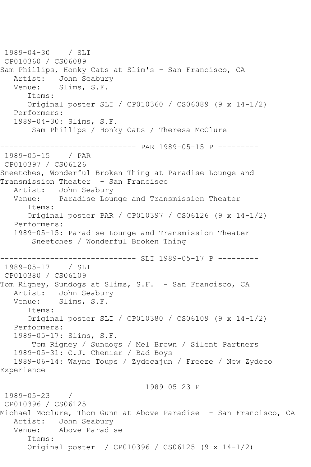1989-04-30 / SLI CP010360 / CS06089 Sam Phillips, Honky Cats at Slim's - San Francisco, CA Artist: John Seabury<br>Venue: Slims, S.F. Slims, S.F. Items: Original poster SLI / CP010360 / CS06089 (9 x 14-1/2) Performers: 1989-04-30: Slims, S.F. Sam Phillips / Honky Cats / Theresa McClure ------------------------------ PAR 1989-05-15 P ---------  $1989 - 05 - 15$ CP010397 / CS06126 Sneetches, Wonderful Broken Thing at Paradise Lounge and Transmission Theater - San Francisco Artist: John Seabury Venue: Paradise Lounge and Transmission Theater Items: Original poster PAR / CP010397 / CS06126 (9 x 14-1/2) Performers: 1989-05-15: Paradise Lounge and Transmission Theater Sneetches / Wonderful Broken Thing ------------------------------ SLI 1989-05-17 P --------- 1989-05-17 / SLI CP010380 / CS06109 Tom Rigney, Sundogs at Slims, S.F. - San Francisco, CA Artist: John Seabury Venue: Slims, S.F. Items: Original poster SLI / CP010380 / CS06109 (9 x 14-1/2) Performers: 1989-05-17: Slims, S.F. Tom Rigney / Sundogs / Mel Brown / Silent Partners 1989-05-31: C.J. Chenier / Bad Boys 1989-06-14: Wayne Toups / Zydecajun / Freeze / New Zydeco Experience ------------------------------ 1989-05-23 P --------- 1989-05-23 / CP010396 / CS06125 Michael Mcclure, Thom Gunn at Above Paradise - San Francisco, CA Artist: John Seabury Venue: Above Paradise Items: Original poster / CP010396 / CS06125 (9 x 14-1/2)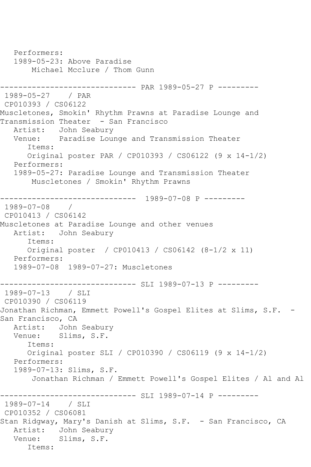Performers: 1989-05-23: Above Paradise Michael Mcclure / Thom Gunn ------------------------------ PAR 1989-05-27 P --------- 1989-05-27 / PAR CP010393 / CS06122 Muscletones, Smokin' Rhythm Prawns at Paradise Lounge and Transmission Theater - San Francisco Artist: John Seabury Venue: Paradise Lounge and Transmission Theater Items: Original poster PAR / CP010393 / CS06122 (9 x 14-1/2) Performers: 1989-05-27: Paradise Lounge and Transmission Theater Muscletones / Smokin' Rhythm Prawns ------------------------------ 1989-07-08 P --------- 1989-07-08 / CP010413 / CS06142 Muscletones at Paradise Lounge and other venues Artist: John Seabury Items: Original poster / CP010413 / CS06142 (8-1/2 x 11) Performers: 1989-07-08 1989-07-27: Muscletones ------------------------------ SLI 1989-07-13 P --------- 1989-07-13 / SLI CP010390 / CS06119 Jonathan Richman, Emmett Powell's Gospel Elites at Slims, S.F. -San Francisco, CA Artist: John Seabury<br>Venue: Slims, S.F. Slims, S.F. Items: Original poster SLI / CP010390 / CS06119 (9 x 14-1/2) Performers: 1989-07-13: Slims, S.F. Jonathan Richman / Emmett Powell's Gospel Elites / Al and Al ------------------------------ SLI 1989-07-14 P --------- 1989-07-14 / SLI CP010352 / CS06081 Stan Ridgway, Mary's Danish at Slims, S.F. - San Francisco, CA Artist: John Seabury Venue: Slims, S.F. Items: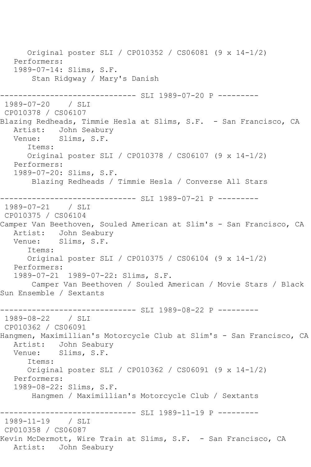Original poster SLI / CP010352 / CS06081 (9 x 14-1/2) Performers: 1989-07-14: Slims, S.F. Stan Ridgway / Mary's Danish ----------- SLI 1989-07-20 P ---------1989-07-20 / SLI CP010378 / CS06107 Blazing Redheads, Timmie Hesla at Slims, S.F. - San Francisco, CA Artist: John Seabury<br>Venue: Slims, S.F. Slims, S.F. Items: Original poster SLI / CP010378 / CS06107 (9 x 14-1/2) Performers: 1989-07-20: Slims, S.F. Blazing Redheads / Timmie Hesla / Converse All Stars ----------- SLI 1989-07-21 P ---------1989-07-21 / SLI CP010375 / CS06104 Camper Van Beethoven, Souled American at Slim's - San Francisco, CA Artist: John Seabury Venue: Slims, S.F. Items: Original poster SLI / CP010375 / CS06104 (9 x 14-1/2) Performers: 1989-07-21 1989-07-22: Slims, S.F. Camper Van Beethoven / Souled American / Movie Stars / Black Sun Ensemble / Sextants ------------------------------ SLI 1989-08-22 P --------- 1989-08-22 / SLI CP010362 / CS06091 Hangmen, Maximillian's Motorcycle Club at Slim's - San Francisco, CA Artist: John Seabury Venue: Slims, S.F. Items: Original poster SLI / CP010362 / CS06091 (9 x 14-1/2) Performers: 1989-08-22: Slims, S.F. Hangmen / Maximillian's Motorcycle Club / Sextants ------------------------------ SLI 1989-11-19 P --------- 1989-11-19 / SLI CP010358 / CS06087 Kevin McDermott, Wire Train at Slims, S.F. - San Francisco, CA Artist: John Seabury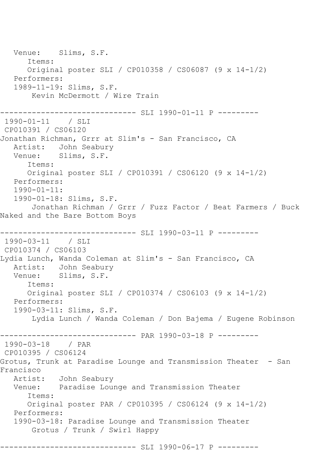Venue: Slims, S.F. Items: Original poster SLI / CP010358 / CS06087 (9 x 14-1/2) Performers: 1989-11-19: Slims, S.F. Kevin McDermott / Wire Train ------------------------------ SLI 1990-01-11 P --------- 1990-01-11 / SLI CP010391 / CS06120 Jonathan Richman, Grrr at Slim's - San Francisco, CA Artist: John Seabury<br>Venue: Slims, S.F. Slims, S.F. Items: Original poster SLI / CP010391 / CS06120 (9 x 14-1/2) Performers: 1990-01-11: 1990-01-18: Slims, S.F. Jonathan Richman / Grrr / Fuzz Factor / Beat Farmers / Buck Naked and the Bare Bottom Boys ------------------------------ SLI 1990-03-11 P --------- 1990-03-11 / SLI CP010374 / CS06103 Lydia Lunch, Wanda Coleman at Slim's - San Francisco, CA Artist: John Seabury Venue: Slims, S.F. Items: Original poster SLI / CP010374 / CS06103 (9 x 14-1/2) Performers: 1990-03-11: Slims, S.F. Lydia Lunch / Wanda Coleman / Don Bajema / Eugene Robinson ------------------------------ PAR 1990-03-18 P --------- 1990-03-18 / PAR CP010395 / CS06124 Grotus, Trunk at Paradise Lounge and Transmission Theater - San Francisco Artist: John Seabury Venue: Paradise Lounge and Transmission Theater Items: Original poster PAR / CP010395 / CS06124 (9 x 14-1/2) Performers: 1990-03-18: Paradise Lounge and Transmission Theater Grotus / Trunk / Swirl Happy ------------------------------ SLI 1990-06-17 P ---------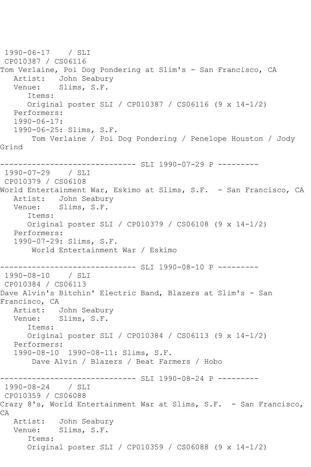```
1990-06-17 / SLI 
CP010387 / CS06116
Tom Verlaine, Poi Dog Pondering at Slim's - San Francisco, CA
  Artist: John Seabury<br>Venue: Slims, S.F.
            Slims, S.F.
       Items:
      Original poster SLI / CP010387 / CS06116 (9 x 14-1/2)
   Performers:
   1990-06-17:
   1990-06-25: Slims, S.F.
        Tom Verlaine / Poi Dog Pondering / Penelope Houston / Jody 
Grind
------------------------------ SLI 1990-07-29 P ---------
1990-07-29 / SLI 
CP010379 / CS06108
World Entertainment War, Eskimo at Slims, S.F. - San Francisco, CA
   Artist: John Seabury
   Venue: Slims, S.F.
      Items:
      Original poster SLI / CP010379 / CS06108 (9 x 14-1/2)
   Performers:
   1990-07-29: Slims, S.F.
        World Entertainment War / Eskimo
------------------------------ SLI 1990-08-10 P ---------
1990-08-10 / SLI 
CP010384 / CS06113
Dave Alvin's Bitchin' Electric Band, Blazers at Slim's - San 
Francisco, CA
   Artist: John Seabury
   Venue: Slims, S.F.
       Items:
      Original poster SLI / CP010384 / CS06113 (9 x 14-1/2)
   Performers:
   1990-08-10 1990-08-11: Slims, S.F.
        Dave Alvin / Blazers / Beat Farmers / Hobo
                ------------------------------ SLI 1990-08-24 P ---------
1990-08-24 / SLI 
CP010359 / CS06088
Crazy 8's, World Entertainment War at Slims, S.F. - San Francisco,
CA
   Artist: John Seabury
   Venue: Slims, S.F.
       Items:
       Original poster SLI / CP010359 / CS06088 (9 x 14-1/2)
```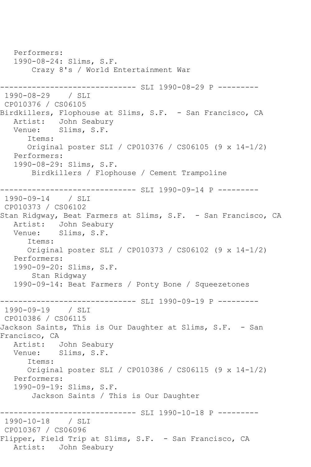Performers: 1990-08-24: Slims, S.F. Crazy 8's / World Entertainment War ------------------------------ SLI 1990-08-29 P --------- 1990-08-29 / SLI CP010376 / CS06105 Birdkillers, Flophouse at Slims, S.F. - San Francisco, CA Artist: John Seabury Venue: Slims, S.F. Items: Original poster SLI / CP010376 / CS06105 (9 x 14-1/2) Performers: 1990-08-29: Slims, S.F. Birdkillers / Flophouse / Cement Trampoline ------------------------------ SLI 1990-09-14 P --------- 1990-09-14 / SLI CP010373 / CS06102 Stan Ridgway, Beat Farmers at Slims, S.F. - San Francisco, CA Artist: John Seabury Venue: Slims, S.F. Items: Original poster SLI / CP010373 / CS06102 (9 x 14-1/2) Performers: 1990-09-20: Slims, S.F. Stan Ridgway 1990-09-14: Beat Farmers / Ponty Bone / Squeezetones ------------------------------ SLI 1990-09-19 P --------- 1990-09-19 / SLI CP010386 / CS06115 Jackson Saints, This is Our Daughter at Slims, S.F. - San Francisco, CA Artist: John Seabury Venue: Slims, S.F. Items: Original poster SLI / CP010386 / CS06115 (9 x 14-1/2) Performers: 1990-09-19: Slims, S.F. Jackson Saints / This is Our Daughter ------------------------------ SLI 1990-10-18 P --------- 1990-10-18 / SLI CP010367 / CS06096 Flipper, Field Trip at Slims, S.F. - San Francisco, CA Artist: John Seabury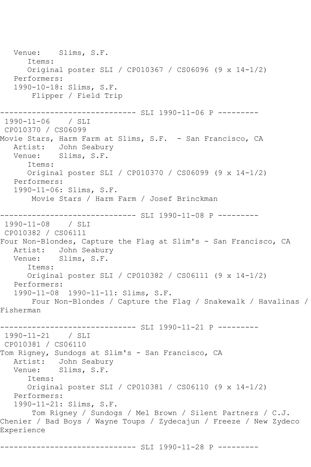Venue: Slims, S.F. Items: Original poster SLI / CP010367 / CS06096 (9 x 14-1/2) Performers: 1990-10-18: Slims, S.F. Flipper / Field Trip ------------------------------ SLI 1990-11-06 P --------- 1990-11-06 / SLI CP010370 / CS06099 Movie Stars, Harm Farm at Slims, S.F. - San Francisco, CA Artist: John Seabury Venue: Slims, S.F. Items: Original poster SLI / CP010370 / CS06099 (9 x 14-1/2) Performers: 1990-11-06: Slims, S.F. Movie Stars / Harm Farm / Josef Brinckman ------------------------------ SLI 1990-11-08 P --------- 1990-11-08 / SLI CP010382 / CS06111 Four Non-Blondes, Capture the Flag at Slim's - San Francisco, CA Artist: John Seabury Venue: Slims, S.F. Items: Original poster SLI / CP010382 / CS06111 (9 x 14-1/2) Performers: 1990-11-08 1990-11-11: Slims, S.F. Four Non-Blondes / Capture the Flag / Snakewalk / Havalinas / Fisherman ------------------------------ SLI 1990-11-21 P --------- 1990-11-21 / SLI CP010381 / CS06110 Tom Rigney, Sundogs at Slim's - San Francisco, CA Artist: John Seabury Venue: Slims, S.F. Items: Original poster SLI / CP010381 / CS06110 (9 x 14-1/2) Performers: 1990-11-21: Slims, S.F. Tom Rigney / Sundogs / Mel Brown / Silent Partners / C.J. Chenier / Bad Boys / Wayne Toups / Zydecajun / Freeze / New Zydeco Experience ------------------------------ SLI 1990-11-28 P ---------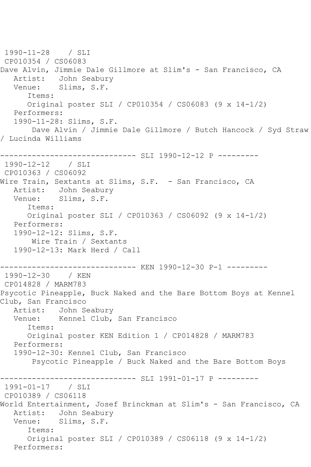1990-11-28 / SLI CP010354 / CS06083 Dave Alvin, Jimmie Dale Gillmore at Slim's - San Francisco, CA Artist: John Seabury<br>Venue: Slims, S.F. Slims, S.F. Items: Original poster SLI / CP010354 / CS06083 (9 x 14-1/2) Performers: 1990-11-28: Slims, S.F. Dave Alvin / Jimmie Dale Gillmore / Butch Hancock / Syd Straw / Lucinda Williams ------------------------------ SLI 1990-12-12 P --------- 1990-12-12 / SLI CP010363 / CS06092 Wire Train, Sextants at Slims, S.F. - San Francisco, CA Artist: John Seabury Venue: Slims, S.F. Items: Original poster SLI / CP010363 / CS06092 (9 x 14-1/2) Performers: 1990-12-12: Slims, S.F. Wire Train / Sextants 1990-12-13: Mark Herd / Call ------------------------------ KEN 1990-12-30 P-1 --------- 1990-12-30 / KEN CP014828 / MARM783 Psycotic Pineapple, Buck Naked and the Bare Bottom Boys at Kennel Club, San Francisco Artist: John Seabury Venue: Kennel Club, San Francisco Items: Original poster KEN Edition 1 / CP014828 / MARM783 Performers: 1990-12-30: Kennel Club, San Francisco Psycotic Pineapple / Buck Naked and the Bare Bottom Boys ------------------------------ SLI 1991-01-17 P --------- 1991-01-17 / SLI CP010389 / CS06118 World Entertainment, Josef Brinckman at Slim's - San Francisco, CA Artist: John Seabury Venue: Slims, S.F. Items: Original poster SLI / CP010389 / CS06118 (9 x 14-1/2) Performers: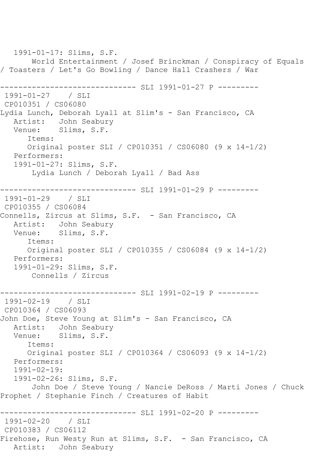1991-01-17: Slims, S.F. World Entertainment / Josef Brinckman / Conspiracy of Equals / Toasters / Let's Go Bowling / Dance Hall Crashers / War ------------------------------ SLI 1991-01-27 P --------- 1991-01-27 / SLI CP010351 / CS06080 Lydia Lunch, Deborah Lyall at Slim's - San Francisco, CA Artist: John Seabury Venue: Slims, S.F. Items: Original poster SLI / CP010351 / CS06080 (9 x 14-1/2) Performers: 1991-01-27: Slims, S.F. Lydia Lunch / Deborah Lyall / Bad Ass ------------------------------ SLI 1991-01-29 P --------- 1991-01-29 / SLI CP010355 / CS06084 Connells, Zircus at Slims, S.F. - San Francisco, CA Artist: John Seabury Venue: Slims, S.F. Items: Original poster SLI / CP010355 / CS06084 (9 x 14-1/2) Performers: 1991-01-29: Slims, S.F. Connells / Zircus ------------- SLI 1991-02-19 P ----------1991-02-19 / SLI CP010364 / CS06093 John Doe, Steve Young at Slim's - San Francisco, CA Artist: John Seabury<br>Venue: Slims, S.F. Slims, S.F. Items: Original poster SLI / CP010364 / CS06093 (9 x 14-1/2) Performers: 1991-02-19: 1991-02-26: Slims, S.F. John Doe / Steve Young / Nancie DeRoss / Marti Jones / Chuck Prophet / Stephanie Finch / Creatures of Habit ---------------- SLI 1991-02-20 P ----------1991-02-20 / SLI CP010383 / CS06112 Firehose, Run Westy Run at Slims, S.F. - San Francisco, CA Artist: John Seabury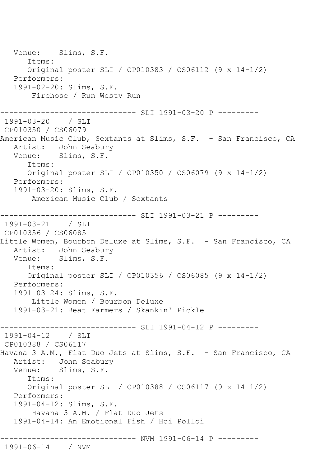Venue: Slims, S.F. Items: Original poster SLI / CP010383 / CS06112 (9 x 14-1/2) Performers: 1991-02-20: Slims, S.F. Firehose / Run Westy Run ------------------------------ SLI 1991-03-20 P --------- 1991-03-20 / SLI CP010350 / CS06079 American Music Club, Sextants at Slims, S.F. - San Francisco, CA Artist: John Seabury<br>Venue: Slims, S.F. Slims, S.F. Items: Original poster SLI / CP010350 / CS06079 (9 x 14-1/2) Performers: 1991-03-20: Slims, S.F. American Music Club / Sextants ------------------------------ SLI 1991-03-21 P --------- 1991-03-21 / SLI CP010356 / CS06085 Little Women, Bourbon Deluxe at Slims, S.F. - San Francisco, CA Artist: John Seabury Venue: Slims, S.F. Items: Original poster SLI / CP010356 / CS06085 (9 x 14-1/2) Performers: 1991-03-24: Slims, S.F. Little Women / Bourbon Deluxe 1991-03-21: Beat Farmers / Skankin' Pickle ------------------------------ SLI 1991-04-12 P --------- 1991-04-12 / SLI CP010388 / CS06117 Havana 3 A.M., Flat Duo Jets at Slims, S.F. - San Francisco, CA Artist: John Seabury Venue: Slims, S.F. Items: Original poster SLI / CP010388 / CS06117 (9 x 14-1/2) Performers: 1991-04-12: Slims, S.F. Havana 3 A.M. / Flat Duo Jets 1991-04-14: An Emotional Fish / Hoi Polloi ------------------------------ NVM 1991-06-14 P --------- 1991-06-14 / NVM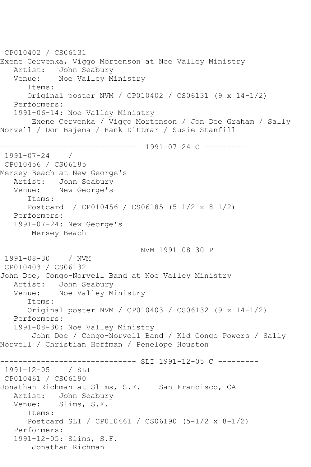```
CP010402 / CS06131
Exene Cervenka, Viggo Mortenson at Noe Valley Ministry
   Artist: John Seabury
   Venue: Noe Valley Ministry
      Items:
      Original poster NVM / CP010402 / CS06131 (9 x 14-1/2)
   Performers:
   1991-06-14: Noe Valley Ministry
       Exene Cervenka / Viggo Mortenson / Jon Dee Graham / Sally 
Norvell / Don Bajema / Hank Dittmar / Susie Stanfill
         ------------------------------ 1991-07-24 C ---------
1991 - 07 - 24CP010456 / CS06185
Mersey Beach at New George's
   Artist: John Seabury
   Venue: New George's
      Items:
      Postcard / CP010456 / CS06185 (5-1/2 x 8-1/2)
   Performers:
   1991-07-24: New George's
       Mersey Beach
------------------------------ NVM 1991-08-30 P ---------
1991-08-30 / NVM 
CP010403 / CS06132
John Doe, Congo-Norvell Band at Noe Valley Ministry
   Artist: John Seabury
   Venue: Noe Valley Ministry
      Items:
      Original poster NVM / CP010403 / CS06132 (9 x 14-1/2)
   Performers:
   1991-08-30: Noe Valley Ministry
       John Doe / Congo-Norvell Band / Kid Congo Powers / Sally 
Norvell / Christian Hoffman / Penelope Houston
------------------------------ SLI 1991-12-05 C ---------
1991-12-05 / SLI 
CP010461 / CS06190
Jonathan Richman at Slims, S.F. - San Francisco, CA
   Artist: John Seabury
   Venue: Slims, S.F.
      Items:
      Postcard SLI / CP010461 / CS06190 (5-1/2 x 8-1/2)
   Performers:
   1991-12-05: Slims, S.F.
       Jonathan Richman
```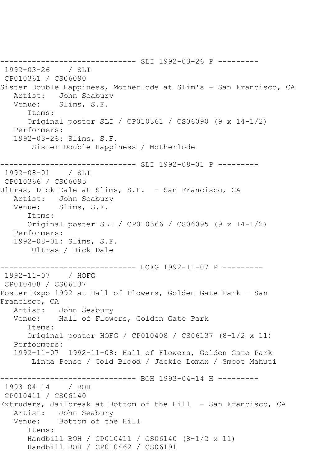------------------------------ SLI 1992-03-26 P --------- 1992-03-26 / SLI CP010361 / CS06090 Sister Double Happiness, Motherlode at Slim's - San Francisco, CA<br>Artist: John Seabury Artist: John Seabury<br>Venue: Slims, S.F. Slims, S.F. Items: Original poster SLI / CP010361 / CS06090 (9 x 14-1/2) Performers: 1992-03-26: Slims, S.F. Sister Double Happiness / Motherlode ------------------------------ SLI 1992-08-01 P --------- 1992-08-01 / SLI CP010366 / CS06095 Ultras, Dick Dale at Slims, S.F. - San Francisco, CA Artist: John Seabury Venue: Slims, S.F. Items: Original poster SLI / CP010366 / CS06095 (9 x 14-1/2) Performers: 1992-08-01: Slims, S.F. Ultras / Dick Dale ------------------------------ HOFG 1992-11-07 P --------- 1992-11-07 / HOFG CP010408 / CS06137 Poster Expo 1992 at Hall of Flowers, Golden Gate Park - San Francisco, CA Artist: John Seabury Venue: Hall of Flowers, Golden Gate Park Items: Original poster HOFG / CP010408 / CS06137 (8-1/2 x 11) Performers: 1992-11-07 1992-11-08: Hall of Flowers, Golden Gate Park Linda Pense / Cold Blood / Jackie Lomax / Smoot Mahuti ------------------------------ BOH 1993-04-14 H --------- 1993-04-14 / BOH CP010411 / CS06140 Extruders, Jailbreak at Bottom of the Hill - San Francisco, CA Artist: John Seabury Venue: Bottom of the Hill Items: Handbill BOH / CP010411 / CS06140 (8-1/2 x 11) Handbill BOH / CP010462 / CS06191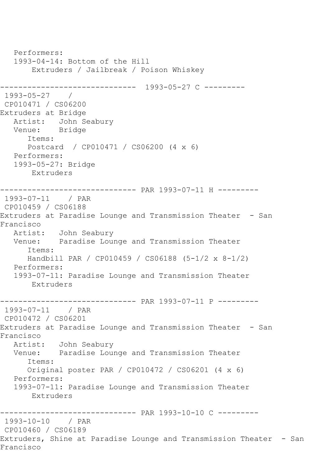```
 Performers:
   1993-04-14: Bottom of the Hill
       Extruders / Jailbreak / Poison Whiskey
------------------------------ 1993-05-27 C ---------
1993-05-27 / 
CP010471 / CS06200
Extruders at Bridge
   Artist: John Seabury
   Venue: Bridge
      Items:
      Postcard / CP010471 / CS06200 (4 x 6)
   Performers:
   1993-05-27: Bridge
       Extruders
------------------------------ PAR 1993-07-11 H ---------
1993-07-11 / PAR 
CP010459 / CS06188
Extruders at Paradise Lounge and Transmission Theater - San 
Francisco
           John Seabury
   Venue: Paradise Lounge and Transmission Theater
      Items:
      Handbill PAR / CP010459 / CS06188 (5-1/2 x 8-1/2)
   Performers:
   1993-07-11: Paradise Lounge and Transmission Theater
       Extruders
------------------------------ PAR 1993-07-11 P ---------
1993-07-11 / PAR 
CP010472 / CS06201
Extruders at Paradise Lounge and Transmission Theater - San 
Francisco
   Artist: John Seabury
   Venue: Paradise Lounge and Transmission Theater
      Items:
      Original poster PAR / CP010472 / CS06201 (4 x 6)
   Performers:
   1993-07-11: Paradise Lounge and Transmission Theater
       Extruders
------------------------------ PAR 1993-10-10 C ---------
1993-10-10 / PAR 
CP010460 / CS06189
Extruders, Shine at Paradise Lounge and Transmission Theater - San 
Francisco
```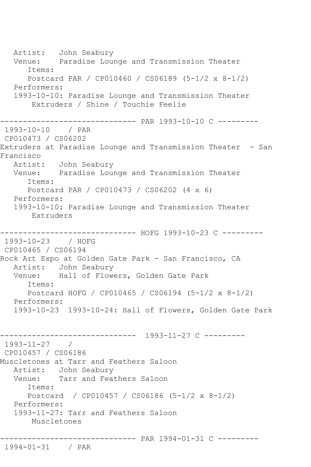Artist: John Seabury Venue: Paradise Lounge and Transmission Theater Items: Postcard PAR / CP010460 / CS06189 (5-1/2 x 8-1/2) Performers: 1993-10-10: Paradise Lounge and Transmission Theater Extruders / Shine / Touchie Feelie ------------------------------ PAR 1993-10-10 C --------- 1993-10-10 / PAR CP010473 / CS06202 Extruders at Paradise Lounge and Transmission Theater - San Francisco Artist: John Seabury Venue: Paradise Lounge and Transmission Theater Items: Postcard PAR / CP010473 / CS06202 (4 x 6) Performers: 1993-10-10: Paradise Lounge and Transmission Theater Extruders ---------- HOFG 1993-10-23 C ---------1993-10-23 / HOFG CP010465 / CS06194 Rock Art Expo at Golden Gate Park - San Francisco, CA Artist: John Seabury Venue: Hall of Flowers, Golden Gate Park Items: Postcard HOFG / CP010465 / CS06194 (5-1/2 x 8-1/2) Performers: 1993-10-23 1993-10-24: Hall of Flowers, Golden Gate Park ------------------------------ 1993-11-27 C --------- 1993-11-27 / CP010457 / CS06186 Muscletones at Tarr and Feathers Saloon Artist: John Seabury Venue: Tarr and Feathers Saloon Items: Postcard / CP010457 / CS06186 (5-1/2 x 8-1/2) Performers: 1993-11-27: Tarr and Feathers Saloon Muscletones ------------------------------ PAR 1994-01-31 C ---------

## 1994-01-31 / PAR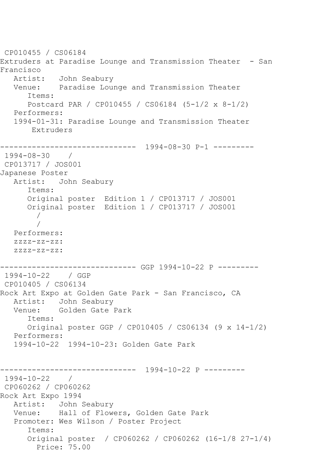```
CP010455 / CS06184
Extruders at Paradise Lounge and Transmission Theater - San 
Francisco
  Artist: John Seabury<br>Venue: Paradise Lour
            Paradise Lounge and Transmission Theater
       Items:
       Postcard PAR / CP010455 / CS06184 (5-1/2 x 8-1/2)
   Performers:
    1994-01-31: Paradise Lounge and Transmission Theater
        Extruders
         ------------------------------ 1994-08-30 P-1 ---------
1994-08-30 / 
CP013717 / JOS001
Japanese Poster
   Artist: John Seabury
       Items:
       Original poster Edition 1 / CP013717 / JOS001
       Original poster Edition 1 / CP013717 / JOS001
 / 
 / 
    Performers:
    zzzz-zz-zz:
    zzzz-zz-zz:
------------------------------ GGP 1994-10-22 P ---------
1994-10-22 / GGP 
CP010405 / CS06134
Rock Art Expo at Golden Gate Park - San Francisco, CA
   Artist: John Seabury
   Venue: Golden Gate Park
       Items:
       Original poster GGP / CP010405 / CS06134 (9 x 14-1/2)
   Performers:
    1994-10-22 1994-10-23: Golden Gate Park
                   ------------------------------ 1994-10-22 P ---------
1994-10-22 / 
CP060262 / CP060262
Rock Art Expo 1994
   Artist: John Seabury
   Venue: Hall of Flowers, Golden Gate Park
    Promoter: Wes Wilson / Poster Project
       Items:
       Original poster / CP060262 / CP060262 (16-1/8 27-1/4)
         Price: 75.00
```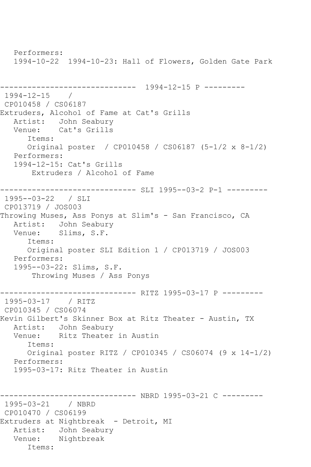Performers: 1994-10-22 1994-10-23: Hall of Flowers, Golden Gate Park ------------------------------ 1994-12-15 P --------- 1994-12-15 / CP010458 / CS06187 Extruders, Alcohol of Fame at Cat's Grills Artist: John Seabury Venue: Cat's Grills Items: Original poster / CP010458 / CS06187 (5-1/2 x 8-1/2) Performers: 1994-12-15: Cat's Grills Extruders / Alcohol of Fame ----------------------------- SLI 1995--03-2 P-1 ----------1995--03-22 / SLI CP013719 / JOS003 Throwing Muses, Ass Ponys at Slim's - San Francisco, CA Artist: John Seabury Venue: Slims, S.F. Items: Original poster SLI Edition 1 / CP013719 / JOS003 Performers: 1995--03-22: Slims, S.F. Throwing Muses / Ass Ponys ------------------------------ RITZ 1995-03-17 P --------- 1995-03-17 / RITZ CP010345 / CS06074 Kevin Gilbert's Skinner Box at Ritz Theater - Austin, TX Artist: John Seabury<br>Venue: Ritz Theater Ritz Theater in Austin Items: Original poster RITZ / CP010345 / CS06074 (9 x 14-1/2) Performers: 1995-03-17: Ritz Theater in Austin ------------------------------ NBRD 1995-03-21 C --------- 1995-03-21 / NBRD CP010470 / CS06199 Extruders at Nightbreak - Detroit, MI Artist: John Seabury Venue: Nightbreak Items: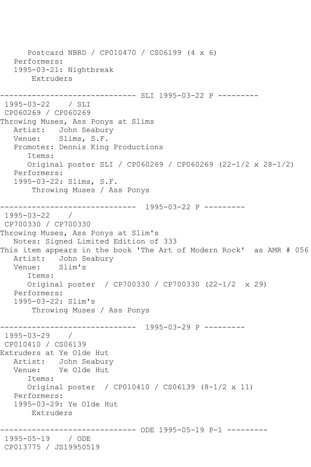```
 Postcard NBRD / CP010470 / CS06199 (4 x 6)
    Performers:
    1995-03-21: Nightbreak
        Extruders
                     ---------- SLI 1995-03-22 P ---------
1995-03-22 / SLI 
CP060269 / CP060269
Throwing Muses, Ass Ponys at Slims
   Artist: John Seabury
   Venue: Slims, S.F.
    Promoter: Dennis King Productions
       Items:
       Original poster SLI / CP060269 / CP060269 (22-1/2 x 28-1/2)
   Performers:
    1995-03-22: Slims, S.F.
        Throwing Muses / Ass Ponys
     ------------------------------ 1995-03-22 P ---------
1995-03-22 / 
CP700330 / CP700330
Throwing Muses, Ass Ponys at Slim's
   Notes: Signed Limited Edition of 333
This item appears in the book 'The Art of Modern Rock' as AMR # 056
  Artist: John Seabury<br>Venue: Slim's
  Venue:
       Items:
       Original poster / CP700330 / CP700330 (22-1/2 x 29)
   Performers:
    1995-03-22: Slim's
        Throwing Muses / Ass Ponys
------------------------------ 1995-03-29 P ---------
1995-03-29 / 
CP010410 / CS06139
Extruders at Ye Olde Hut
   Artist: John Seabury
   Venue: Ye Olde Hut
       Items:
       Original poster / CP010410 / CS06139 (8-1/2 x 11)
    Performers:
    1995-03-29: Ye Olde Hut
       Extruders
                      ------------------------------ ODE 1995-05-19 P-1 ---------
1995-05-19 / ODE 
CP013775 / JS19950519
```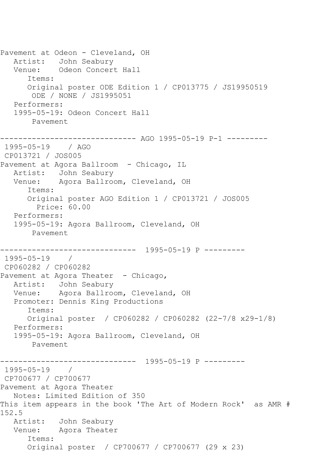Pavement at Odeon - Cleveland, OH Artist: John Seabury Venue: Odeon Concert Hall Items: Original poster ODE Edition 1 / CP013775 / JS19950519 ODE / NONE / JS1995051 Performers: 1995-05-19: Odeon Concert Hall Pavement ------------------------------ AGO 1995-05-19 P-1 --------- 1995-05-19 / AGO CP013721 / JOS005 Pavement at Agora Ballroom - Chicago, IL Artist: John Seabury Venue: Agora Ballroom, Cleveland, OH Items: Original poster AGO Edition 1 / CP013721 / JOS005 Price: 60.00 Performers: 1995-05-19: Agora Ballroom, Cleveland, OH Pavement ------------------------------ 1995-05-19 P --------- 1995-05-19 / CP060282 / CP060282 Pavement at Agora Theater - Chicago, Artist: John Seabury Venue: Agora Ballroom, Cleveland, OH Promoter: Dennis King Productions Items: Original poster / CP060282 / CP060282 (22-7/8 x29-1/8) Performers: 1995-05-19: Agora Ballroom, Cleveland, OH Pavement ------------------------------ 1995-05-19 P --------- 1995-05-19 / CP700677 / CP700677 Pavement at Agora Theater Notes: Limited Edition of 350 This item appears in the book 'The Art of Modern Rock' as AMR # 152.5 Artist: John Seabury Venue: Agora Theater Items: Original poster / CP700677 / CP700677 (29 x 23)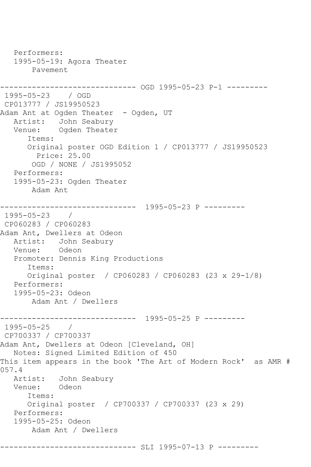Performers: 1995-05-19: Agora Theater Pavement ------------------------------ OGD 1995-05-23 P-1 --------- 1995-05-23 / OGD CP013777 / JS19950523 Adam Ant at Ogden Theater - Ogden, UT Artist: John Seabury Venue: Ogden Theater Items: Original poster OGD Edition 1 / CP013777 / JS19950523 Price: 25.00 OGD / NONE / JS1995052 Performers: 1995-05-23: Ogden Theater Adam Ant ------------------------------ 1995-05-23 P --------- 1995-05-23 / CP060283 / CP060283 Adam Ant, Dwellers at Odeon Artist: John Seabury Venue: Odeon Promoter: Dennis King Productions Items: Original poster / CP060283 / CP060283 (23 x 29-1/8) Performers: 1995-05-23: Odeon Adam Ant / Dwellers ------------------------------ 1995-05-25 P --------- 1995-05-25 / CP700337 / CP700337 Adam Ant, Dwellers at Odeon [Cleveland, OH] Notes: Signed Limited Edition of 450 This item appears in the book 'The Art of Modern Rock' as AMR # 057.4 Artist: John Seabury<br>Venue: Odeon Venue: Items: Original poster / CP700337 / CP700337 (23 x 29) Performers: 1995-05-25: Odeon Adam Ant / Dwellers ------------------------------ SLI 1995-07-13 P ---------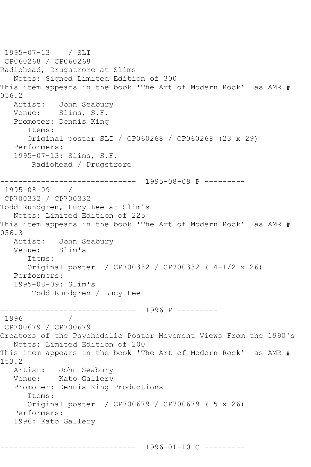```
1995-07-13 / SLI 
CP060268 / CP060268
Radiohead, Drugstrore at Slims
   Notes: Signed Limited Edition of 300
This item appears in the book 'The Art of Modern Rock' as AMR # 
056.2
   Artist: John Seabury
   Venue: Slims, S.F.
   Promoter: Dennis King
       Items:
       Original poster SLI / CP060268 / CP060268 (23 x 29)
   Performers:
   1995-07-13: Slims, S.F.
        Radiohead / Drugstrore
                 ------------------------------ 1995-08-09 P ---------
1995-08-09 / 
CP700332 / CP700332
Todd Rundgren, Lucy Lee at Slim's
   Notes: Limited Edition of 225
This item appears in the book 'The Art of Modern Rock' as AMR # 
056.3
   Artist: John Seabury
   Venue: Slim's
       Items:
      Original poster / CP700332 / CP700332 (14-1/2 x 26)
   Performers:
   1995-08-09: Slim's
        Todd Rundgren / Lucy Lee
------------------------------ 1996 P ---------
1996 / 
CP700679 / CP700679
Creators of the Psychedelic Poster Movement Views From the 1990's
   Notes: Limited Edition of 200
This item appears in the book 'The Art of Modern Rock' as AMR # 
153.2
   Artist: John Seabury
   Venue: Kato Gallery
   Promoter: Dennis King Productions
       Items:
      Original poster / CP700679 / CP700679 (15 x 26)
   Performers:
   1996: Kato Gallery
```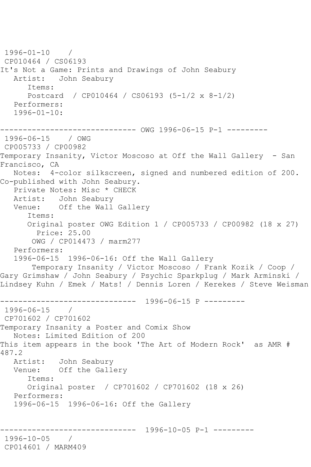1996-01-10 / CP010464 / CS06193 It's Not a Game: Prints and Drawings of John Seabury Artist: John Seabury Items: Postcard / CP010464 / CS06193 (5-1/2 x 8-1/2) Performers: 1996-01-10: ------------------------------ OWG 1996-06-15 P-1 --------- 1996-06-15 / OWG CP005733 / CP00982 Temporary Insanity, Victor Moscoso at Off the Wall Gallery - San Francisco, CA Notes: 4-color silkscreen, signed and numbered edition of 200. Co-published with John Seabury. Private Notes: Misc \* CHECK Artist: John Seabury Venue: Off the Wall Gallery Items: Original poster OWG Edition 1 / CP005733 / CP00982 (18 x 27) Price: 25.00 OWG / CP014473 / marm277 Performers: 1996-06-15 1996-06-16: Off the Wall Gallery Temporary Insanity / Victor Moscoso / Frank Kozik / Coop / Gary Grimshaw / John Seabury / Psychic Sparkplug / Mark Arminski / Lindsey Kuhn / Emek / Mats! / Dennis Loren / Kerekes / Steve Weisman ------------------------------ 1996-06-15 P --------- 1996-06-15 / CP701602 / CP701602 Temporary Insanity a Poster and Comix Show Notes: Limited Edition of 200 This item appears in the book 'The Art of Modern Rock' as AMR # 487.2 Artist: John Seabury Venue: Off the Gallery Items: Original poster / CP701602 / CP701602 (18 x 26) Performers: 1996-06-15 1996-06-16: Off the Gallery ------------------------------ 1996-10-05 P-1 --------- 1996-10-05 / CP014601 / MARM409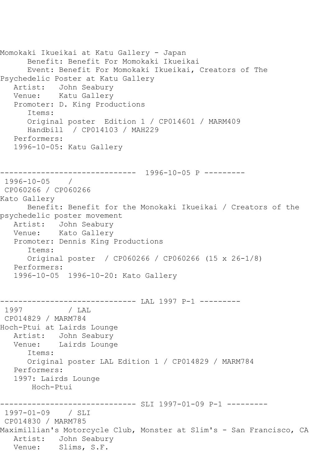```
Momokaki Ikueikai at Katu Gallery - Japan
      Benefit: Benefit For Momokaki Ikueikai
      Event: Benefit For Momokaki Ikueikai, Creators of The 
Psychedelic Poster at Katu Gallery
   Artist: John Seabury
   Venue: Katu Gallery
   Promoter: D. King Productions
      Items:
      Original poster Edition 1 / CP014601 / MARM409
      Handbill / CP014103 / MAH229
   Performers:
   1996-10-05: Katu Gallery
   ------------------------------ 1996-10-05 P ---------
1996-10-05 / 
CP060266 / CP060266
Kato Gallery
      Benefit: Benefit for the Monokaki Ikueikai / Creators of the 
psychedelic poster movement
   Artist: John Seabury
   Venue: Kato Gallery
   Promoter: Dennis King Productions
      Items:
      Original poster / CP060266 / CP060266 (15 x 26-1/8)
   Performers:
   1996-10-05 1996-10-20: Kato Gallery
------------------------------ LAL 1997 P-1 ---------
1997 / LAL 
CP014829 / MARM784
Hoch-Ptui at Lairds Lounge
   Artist: John Seabury
   Venue: Lairds Lounge
      Items:
      Original poster LAL Edition 1 / CP014829 / MARM784
   Performers:
   1997: Lairds Lounge
       Hoch-Ptui
------------------------------ SLI 1997-01-09 P-1 ---------
1997-01-09 / SLI 
CP014830 / MARM785
Maximillian's Motorcycle Club, Monster at Slim's - San Francisco, CA
   Artist: John Seabury
   Venue: Slims, S.F.
```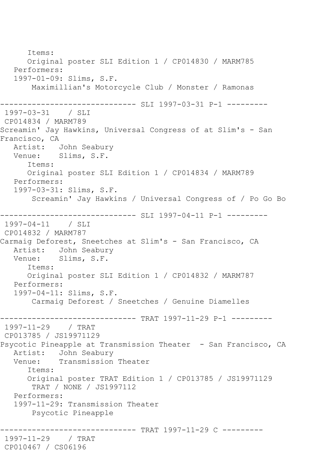Items: Original poster SLI Edition 1 / CP014830 / MARM785 Performers: 1997-01-09: Slims, S.F. Maximillian's Motorcycle Club / Monster / Ramonas ------------------------------ SLI 1997-03-31 P-1 --------- 1997-03-31 / SLI CP014834 / MARM789 Screamin' Jay Hawkins, Universal Congress of at Slim's - San Francisco, CA Artist: John Seabury Venue: Slims, S.F. Items: Original poster SLI Edition 1 / CP014834 / MARM789 Performers: 1997-03-31: Slims, S.F. Screamin' Jay Hawkins / Universal Congress of / Po Go Bo ------------------------------ SLI 1997-04-11 P-1 --------- 1997-04-11 / SLI CP014832 / MARM787 Carmaig Deforest, Sneetches at Slim's - San Francisco, CA Artist: John Seabury Venue: Slims, S.F. Items: Original poster SLI Edition 1 / CP014832 / MARM787 Performers: 1997-04-11: Slims, S.F. Carmaig Deforest / Sneetches / Genuine Diamelles ------------------------------ TRAT 1997-11-29 P-1 --------- 1997-11-29 / TRAT CP013785 / JS19971129 Psycotic Pineapple at Transmission Theater - San Francisco, CA Artist: John Seabury<br>Venue: Transmission Transmission Theater Items: Original poster TRAT Edition 1 / CP013785 / JS19971129 TRAT / NONE / JS1997112 Performers: 1997-11-29: Transmission Theater Psycotic Pineapple ------------------------------ TRAT 1997-11-29 C --------- 1997-11-29 / TRAT CP010467 / CS06196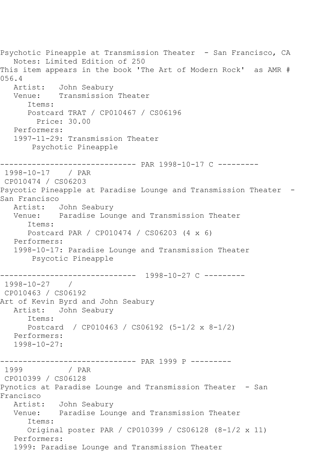Psychotic Pineapple at Transmission Theater - San Francisco, CA Notes: Limited Edition of 250 This item appears in the book 'The Art of Modern Rock' as AMR # 056.4 Artist: John Seabury Venue: Transmission Theater Items: Postcard TRAT / CP010467 / CS06196 Price: 30.00 Performers: 1997-11-29: Transmission Theater Psychotic Pineapple ------------------------------ PAR 1998-10-17 C --------- 1998-10-17 / PAR CP010474 / CS06203 Psycotic Pineapple at Paradise Lounge and Transmission Theater - San Francisco<br>Artist: John Seabury Venue: Paradise Lounge and Transmission Theater Items: Postcard PAR / CP010474 / CS06203 (4 x 6) Performers: 1998-10-17: Paradise Lounge and Transmission Theater Psycotic Pineapple ------------------------------ 1998-10-27 C --------- 1998-10-27 / CP010463 / CS06192 Art of Kevin Byrd and John Seabury Artist: John Seabury Items: Postcard / CP010463 / CS06192 (5-1/2 x 8-1/2) Performers: 1998-10-27: ------------------------------ PAR 1999 P --------- / PAR CP010399 / CS06128 Pynotics at Paradise Lounge and Transmission Theater - San Francisco Artist: John Seabury Venue: Paradise Lounge and Transmission Theater Items: Original poster PAR / CP010399 / CS06128 (8-1/2 x 11) Performers: 1999: Paradise Lounge and Transmission Theater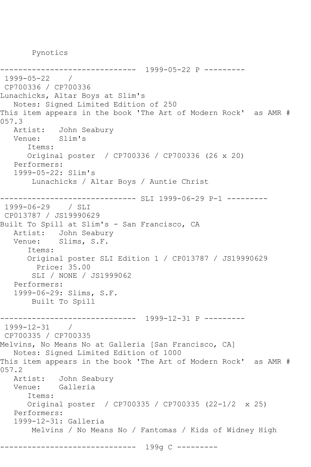Pynotics

------------------------------ 1999-05-22 P --------- 1999-05-22 / CP700336 / CP700336 Lunachicks, Altar Boys at Slim's Notes: Signed Limited Edition of 250 This item appears in the book 'The Art of Modern Rock' as AMR # 057.3 Artist: John Seabury Venue: Slim's Items: Original poster / CP700336 / CP700336 (26 x 20) Performers: 1999-05-22: Slim's Lunachicks / Altar Boys / Auntie Christ ----------------------------- SLI 1999-06-29 P-1 ----------1999-06-29 / SLI CP013787 / JS19990629 Built To Spill at Slim's - San Francisco, CA Artist: John Seabury Venue: Slims, S.F. Items: Original poster SLI Edition 1 / CP013787 / JS19990629 Price: 35.00 SLI / NONE / JS1999062 Performers: 1999-06-29: Slims, S.F. Built To Spill ------------------------------ 1999-12-31 P --------- 1999-12-31 / CP700335 / CP700335 Melvins, No Means No at Galleria [San Francisco, CA] Notes: Signed Limited Edition of 1000 This item appears in the book 'The Art of Modern Rock' as AMR # 057.2 Artist: John Seabury Venue: Galleria Items: Original poster / CP700335 / CP700335 (22-1/2 x 25) Performers: 1999-12-31: Galleria Melvins / No Means No / Fantomas / Kids of Widney High ------------------------------ 199g C ---------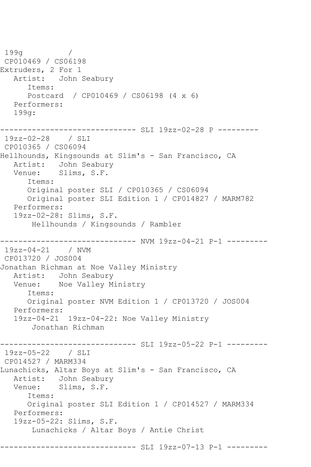199g / CP010469 / CS06198 Extruders, 2 For 1 Artist: John Seabury Items: Postcard / CP010469 / CS06198 (4 x 6) Performers: 199g: ------------------------------ SLI 19zz-02-28 P --------- 19zz-02-28 / SLI CP010365 / CS06094 Hellhounds, Kingsounds at Slim's - San Francisco, CA Artist: John Seabury Venue: Slims, S.F. Items: Original poster SLI / CP010365 / CS06094 Original poster SLI Edition 1 / CP014827 / MARM782 Performers: 19zz-02-28: Slims, S.F. Hellhounds / Kingsounds / Rambler ------------------------------ NVM 19zz-04-21 P-1 --------- 19zz-04-21 / NVM CP013720 / JOS004 Jonathan Richman at Noe Valley Ministry Artist: John Seabury Venue: Noe Valley Ministry Items: Original poster NVM Edition 1 / CP013720 / JOS004 Performers: 19zz-04-21 19zz-04-22: Noe Valley Ministry Jonathan Richman ---------- SLI 19zz-05-22 P-1 ----------19zz-05-22 / SLI CP014527 / MARM334 Lunachicks, Altar Boys at Slim's - San Francisco, CA Artist: John Seabury<br>Venue: Slims, S.F. Slims, S.F. Items: Original poster SLI Edition 1 / CP014527 / MARM334 Performers: 19zz-05-22: Slims, S.F. Lunachicks / Altar Boys / Antie Christ ------------------------------ SLI 19zz-07-13 P-1 ---------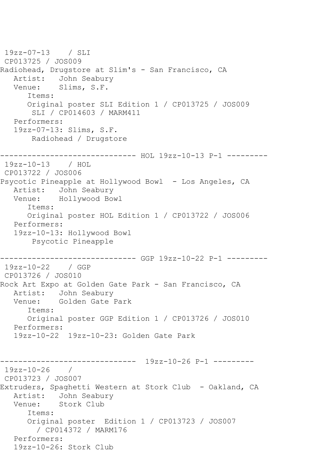19zz-07-13 / SLI CP013725 / JOS009 Radiohead, Drugstore at Slim's - San Francisco, CA Artist: John Seabury<br>Venue: Slims, S.F. Slims, S.F. Items: Original poster SLI Edition 1 / CP013725 / JOS009 SLI / CP014603 / MARM411 Performers: 19zz-07-13: Slims, S.F. Radiohead / Drugstore ------------------------------ HOL 19zz-10-13 P-1 --------- 19zz-10-13 / HOL CP013722 / JOS006 Psycotic Pineapple at Hollywood Bowl - Los Angeles, CA Artist: John Seabury Venue: Hollywood Bowl Items: Original poster HOL Edition 1 / CP013722 / JOS006 Performers: 19zz-10-13: Hollywood Bowl Psycotic Pineapple ------------------------------ GGP 19zz-10-22 P-1 --------- 19zz-10-22 / GGP CP013726 / JOS010 Rock Art Expo at Golden Gate Park - San Francisco, CA Artist: John Seabury Venue: Golden Gate Park Items: Original poster GGP Edition 1 / CP013726 / JOS010 Performers: 19zz-10-22 19zz-10-23: Golden Gate Park ------------------------------ 19zz-10-26 P-1 --------- 19zz-10-26 / CP013723 / JOS007 Extruders, Spaghetti Western at Stork Club - Oakland, CA Artist: John Seabury Venue: Stork Club Items: Original poster Edition 1 / CP013723 / JOS007 / CP014372 / MARM176 Performers: 19zz-10-26: Stork Club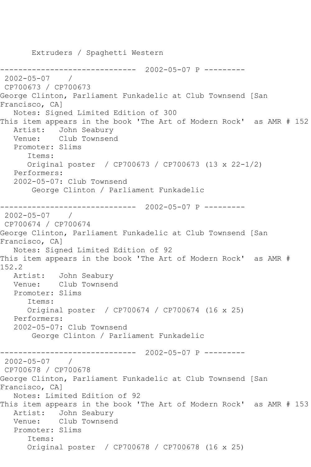Extruders / Spaghetti Western ------------------------------ 2002-05-07 P --------- 2002-05-07 / CP700673 / CP700673 George Clinton, Parliament Funkadelic at Club Townsend [San Francisco, CA] Notes: Signed Limited Edition of 300 This item appears in the book 'The Art of Modern Rock' as AMR # 152 Artist: John Seabury Venue: Club Townsend Promoter: Slims Items: Original poster / CP700673 / CP700673 (13 x 22-1/2) Performers: 2002-05-07: Club Townsend George Clinton / Parliament Funkadelic ------------------------------ 2002-05-07 P --------- 2002-05-07 / CP700674 / CP700674 George Clinton, Parliament Funkadelic at Club Townsend [San Francisco, CA] Notes: Signed Limited Edition of 92 This item appears in the book 'The Art of Modern Rock' as AMR # 152.2 Artist: John Seabury Venue: Club Townsend Promoter: Slims Items: Original poster / CP700674 / CP700674 (16 x 25) Performers: 2002-05-07: Club Townsend George Clinton / Parliament Funkadelic ------------------------------ 2002-05-07 P --------- 2002-05-07 / CP700678 / CP700678 George Clinton, Parliament Funkadelic at Club Townsend [San Francisco, CA] Notes: Limited Edition of 92 This item appears in the book 'The Art of Modern Rock' as AMR # 153 Artist: John Seabury Venue: Club Townsend Promoter: Slims Items: Original poster / CP700678 / CP700678 (16 x 25)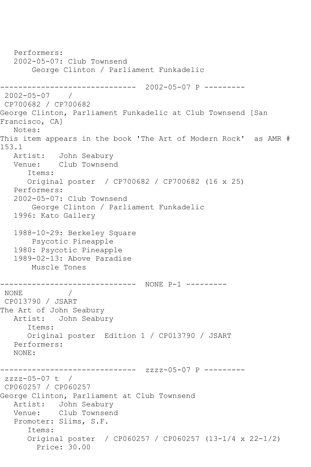```
 Performers:
   2002-05-07: Club Townsend
        George Clinton / Parliament Funkadelic
------------------------------ 2002-05-07 P ---------
2002-05-07 / 
CP700682 / CP700682
George Clinton, Parliament Funkadelic at Club Townsend [San 
Francisco, CA]
   Notes: 
This item appears in the book 'The Art of Modern Rock' as AMR # 
153.1
   Artist: John Seabury
   Venue: Club Townsend
       Items:
       Original poster / CP700682 / CP700682 (16 x 25)
   Performers:
   2002-05-07: Club Townsend
        George Clinton / Parliament Funkadelic
   1996: Kato Gallery
   1988-10-29: Berkeley Square
        Psycotic Pineapple
   1980: Psycotic Pineapple
   1989-02-13: Above Paradise
       Muscle Tones
------------------------------ NONE P-1 ---------
NONE / 
CP013790 / JSART
The Art of John Seabury
   Artist: John Seabury
       Items:
      Original poster Edition 1 / CP013790 / JSART
   Performers:
   NONE:
------------------------------ zzzz-05-07 P ---------
zzzz-05-07 t / 
CP060257 / CP060257
George Clinton, Parliament at Club Townsend
   Artist: John Seabury
   Venue: Club Townsend
   Promoter: Slims, S.F.
       Items:
       Original poster / CP060257 / CP060257 (13-1/4 x 22-1/2)
         Price: 30.00
```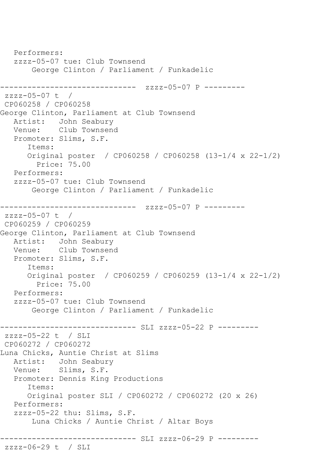```
 Performers:
   zzzz-05-07 tue: Club Townsend
       George Clinton / Parliament / Funkadelic
------------------------------ zzzz-05-07 P ---------
zzzz-05-07 t / 
CP060258 / CP060258
George Clinton, Parliament at Club Townsend
   Artist: John Seabury
   Venue: Club Townsend
   Promoter: Slims, S.F.
       Items:
       Original poster / CP060258 / CP060258 (13-1/4 x 22-1/2)
         Price: 75.00
   Performers:
   zzzz-05-07 tue: Club Townsend
       George Clinton / Parliament / Funkadelic
                  ------------- zzzz-05-07 P ---------
zzzz-05-07 t / 
CP060259 / CP060259
George Clinton, Parliament at Club Townsend
   Artist: John Seabury
   Venue: Club Townsend
   Promoter: Slims, S.F.
       Items:
       Original poster / CP060259 / CP060259 (13-1/4 x 22-1/2)
         Price: 75.00
   Performers:
   zzzz-05-07 tue: Club Townsend
       George Clinton / Parliament / Funkadelic
------------------------------ SLI zzzz-05-22 P ---------
zzzz-05-22 t / SLI 
CP060272 / CP060272
Luna Chicks, Auntie Christ at Slims
   Artist: John Seabury
   Venue: Slims, S.F.
   Promoter: Dennis King Productions
       Items:
      Original poster SLI / CP060272 / CP060272 (20 x 26)
   Performers:
   zzzz-05-22 thu: Slims, S.F.
       Luna Chicks / Auntie Christ / Altar Boys
------------------------------ SLI zzzz-06-29 P ---------
zzzz-06-29 t / SLI
```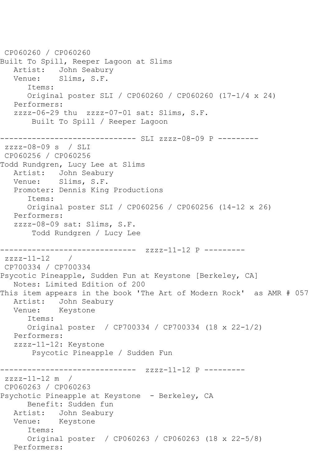```
CP060260 / CP060260
Built To Spill, Reeper Lagoon at Slims
   Artist: John Seabury
   Venue: Slims, S.F.
       Items:
       Original poster SLI / CP060260 / CP060260 (17-1/4 x 24)
   Performers:
   zzzz-06-29 thu zzzz-07-01 sat: Slims, S.F.
        Built To Spill / Reeper Lagoon
------------------------------ SLI zzzz-08-09 P ---------
zzzz-08-09 s / SLI 
CP060256 / CP060256
Todd Rundgren, Lucy Lee at Slims
   Artist: John Seabury
   Venue: Slims, S.F.
   Promoter: Dennis King Productions
       Items:
       Original poster SLI / CP060256 / CP060256 (14-12 x 26)
   Performers:
   zzzz-08-09 sat: Slims, S.F.
        Todd Rundgren / Lucy Lee
------------------------------ zzzz-11-12 P ---------
zzzz-11-12 /
CP700334 / CP700334
Psycotic Pineapple, Sudden Fun at Keystone [Berkeley, CA]
   Notes: Limited Edition of 200
This item appears in the book 'The Art of Modern Rock' as AMR # 057
  Artist: John Seabury<br>Venue: Kevstone
            Keystone
       Items:
      Original poster / CP700334 / CP700334 (18 x 22-1/2)
   Performers:
   zzzz-11-12: Keystone
        Psycotic Pineapple / Sudden Fun
------------------------------ zzzz-11-12 P ---------
zzzz-11-12 m /
CP060263 / CP060263
Psychotic Pineapple at Keystone - Berkeley, CA
      Benefit: Sudden fun
   Artist: John Seabury
   Venue: Keystone
       Items:
       Original poster / CP060263 / CP060263 (18 x 22-5/8)
   Performers:
```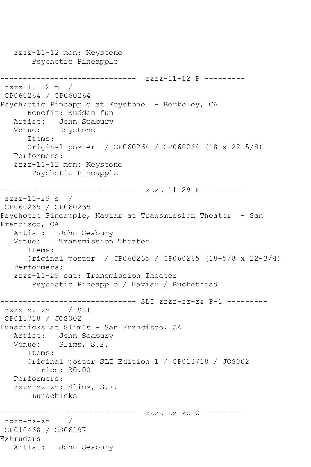zzzz-11-12 mon: Keystone Psychotic Pineapple ------------------------------ zzzz-11-12 P --------  $zzzz-11-12$  m / CP060264 / CP060264 Psych/otic Pineapple at Keystone - Berkeley, CA Benefit: Sudden fun Artist: John Seabury Venue: Keystone Items: Original poster / CP060264 / CP060264 (18 x 22-5/8) Performers: zzzz-11-12 mon: Keystone Psychotic Pineapple ------------------------------ zzzz-11-29 P -------- zzzz-11-29 s / CP060265 / CP060265 Psychotic Pineapple, Kaviar at Transmission Theater - San Francisco, CA Artist: John Seabury Venue: Transmission Theater Items: Original poster / CP060265 / CP060265 (18-5/8 x 22-3/4) Performers: zzzz-11-29 sat: Transmission Theater Psychotic Pineapple / Kaviar / Buckethead ------------------------------ SLI zzzz-zz-zz P-1 -------- zzzz-zz-zz / SLI CP013718 / JOS002 Lunachicks at Slim's - San Francisco, CA Artist: John Seabury Venue: Slims, S.F. Items: Original poster SLI Edition 1 / CP013718 / JOS002 Price: 30.00 Performers: zzzz-zz-zz: Slims, S.F. Lunachicks ------------------------------ zzzz-zz-zz C -------- zzzz-zz-zz / CP010468 / CS06197 Extruders Artist: John Seabury